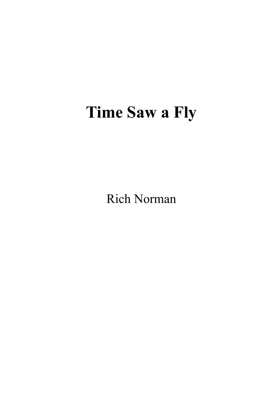# **Time Saw a Fly**

Rich Norman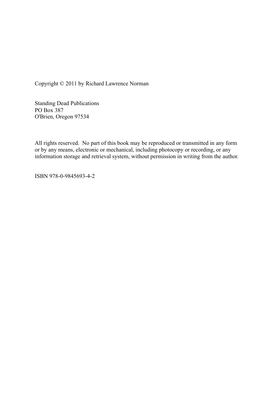Copyright © 2011 by Richard Lawrence Norman

Standing Dead Publications PO Box 387 O'Brien, Oregon 97534

All rights reserved. No part of this book may be reproduced or transmitted in any form or by any means, electronic or mechanical, including photocopy or recording, or any information storage and retrieval system, without permission in writing from the author.

ISBN 978-0-9845693-4-2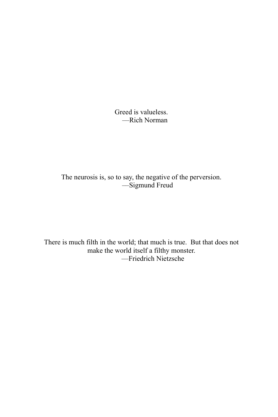Greed is valueless. ––Rich Norman

The neurosis is, so to say, the negative of the perversion. ––Sigmund Freud

There is much filth in the world; that much is true. But that does not make the world itself a filthy monster. ––Friedrich Nietzsche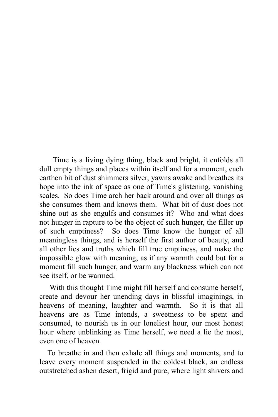Time is a living dying thing, black and bright, it enfolds all dull empty things and places within itself and for a moment, each earthen bit of dust shimmers silver, yawns awake and breathes its hope into the ink of space as one of Time's glistening, vanishing scales. So does Time arch her back around and over all things as she consumes them and knows them. What bit of dust does not shine out as she engulfs and consumes it? Who and what does not hunger in rapture to be the object of such hunger, the filler up of such emptiness? So does Time know the hunger of all meaningless things, and is herself the first author of beauty, and all other lies and truths which fill true emptiness, and make the impossible glow with meaning, as if any warmth could but for a moment fill such hunger, and warm any blackness which can not see itself, or be warmed.

With this thought Time might fill herself and consume herself, create and devour her unending days in blissful imaginings, in heavens of meaning, laughter and warmth. So it is that all heavens are as Time intends, a sweetness to be spent and consumed, to nourish us in our loneliest hour, our most honest hour where unblinking as Time herself, we need a lie the most, even one of heaven.

To breathe in and then exhale all things and moments, and to leave every moment suspended in the coldest black, an endless outstretched ashen desert, frigid and pure, where light shivers and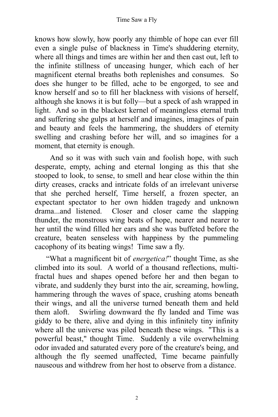knows how slowly, how poorly any thimble of hope can ever fill even a single pulse of blackness in Time's shuddering eternity, where all things and times are within her and then cast out, left to the infinite stillness of unceasing hunger, which each of her magnificent eternal breaths both replenishes and consumes. So does she hunger to be filled, ache to be engorged, to see and know herself and so to fill her blackness with visions of herself, although she knows it is but folly––but a speck of ash wrapped in light. And so in the blackest kernel of meaningless eternal truth and suffering she gulps at herself and imagines, imagines of pain and beauty and feels the hammering, the shudders of eternity swelling and crashing before her will, and so imagines for a moment, that eternity is enough.

And so it was with such vain and foolish hope, with such desperate, empty, aching and eternal longing as this that she stooped to look, to sense, to smell and hear close within the thin dirty creases, cracks and intricate folds of an irrelevant universe that she perched herself, Time herself, a frozen specter, an expectant spectator to her own hidden tragedy and unknown drama...and listened. Closer and closer came the slapping thunder, the monstrous wing beats of hope, nearer and nearer to her until the wind filled her ears and she was buffeted before the creature, beaten senseless with happiness by the pummeling cacophony of its beating wings! Time saw a fly.

"What a magnificent bit of *energetica!*" thought Time, as she climbed into its soul. A world of a thousand reflections, multifractal hues and shapes opened before her and then began to vibrate, and suddenly they burst into the air, screaming, howling, hammering through the waves of space, crushing atoms beneath their wings, and all the universe turned beneath them and held them aloft. Swirling downward the fly landed and Time was giddy to be there, alive and dying in this infinitely tiny infinity where all the universe was piled beneath these wings. "This is a powerful beast," thought Time. Suddenly a vile overwhelming odor invaded and saturated every pore of the creature's being, and although the fly seemed unaffected, Time became painfully nauseous and withdrew from her host to observe from a distance.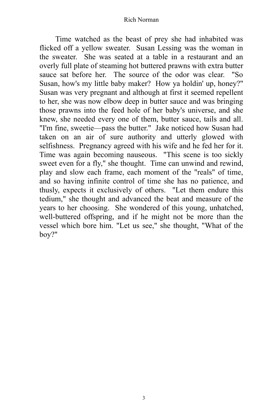Time watched as the beast of prey she had inhabited was flicked off a yellow sweater. Susan Lessing was the woman in the sweater. She was seated at a table in a restaurant and an overly full plate of steaming hot buttered prawns with extra butter sauce sat before her. The source of the odor was clear. "So Susan, how's my little baby maker? How ya holdin' up, honey?" Susan was very pregnant and although at first it seemed repellent to her, she was now elbow deep in butter sauce and was bringing those prawns into the feed hole of her baby's universe, and she knew, she needed every one of them, butter sauce, tails and all. "I'm fine, sweetie––pass the butter." Jake noticed how Susan had taken on an air of sure authority and utterly glowed with selfishness. Pregnancy agreed with his wife and he fed her for it. Time was again becoming nauseous. "This scene is too sickly sweet even for a fly," she thought. Time can unwind and rewind, play and slow each frame, each moment of the "reals" of time, and so having infinite control of time she has no patience, and thusly, expects it exclusively of others. "Let them endure this tedium," she thought and advanced the beat and measure of the years to her choosing. She wondered of this young, unhatched, well-buttered offspring, and if he might not be more than the vessel which bore him. "Let us see," she thought, "What of the boy?"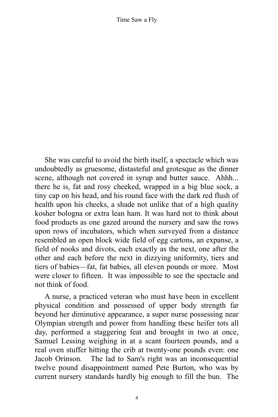She was careful to avoid the birth itself, a spectacle which was undoubtedly as gruesome, distasteful and grotesque as the dinner scene, although not covered in syrup and butter sauce. Ahhh... there he is, fat and rosy cheeked, wrapped in a big blue sock, a tiny cap on his head, and his round face with the dark red flush of health upon his cheeks, a shade not unlike that of a high quality kosher bologna or extra lean ham. It was hard not to think about food products as one gazed around the nursery and saw the rows upon rows of incubators, which when surveyed from a distance resembled an open block wide field of egg cartons, an expanse, a field of nooks and divots, each exactly as the next, one after the other and each before the next in dizzying uniformity, tiers and tiers of babies––fat, fat babies, all eleven pounds or more. Most were closer to fifteen. It was impossible to see the spectacle and not think of food.

A nurse, a practiced veteran who must have been in excellent physical condition and possessed of upper body strength far beyond her diminutive appearance, a super nurse possessing near Olympian strength and power from handling these heifer tots all day, performed a staggering feat and brought in two at once, Samuel Lessing weighing in at a scant fourteen pounds, and a real oven stuffer hitting the crib at twenty-one pounds even: one Jacob Orinson. The lad to Sam's right was an inconsequential twelve pound disappointment named Pete Burton, who was by current nursery standards hardly big enough to fill the bun. The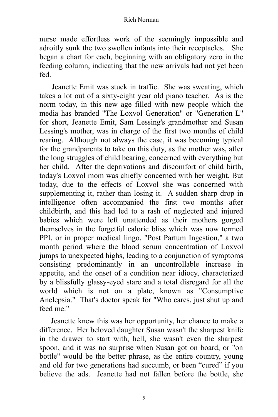nurse made effortless work of the seemingly impossible and adroitly sunk the two swollen infants into their receptacles. She began a chart for each, beginning with an obligatory zero in the feeding column, indicating that the new arrivals had not yet been fed.

Jeanette Emit was stuck in traffic. She was sweating, which takes a lot out of a sixty-eight year old piano teacher. As is the norm today, in this new age filled with new people which the media has branded "The Loxvol Generation" or "Generation L" for short, Jeanette Emit, Sam Lessing's grandmother and Susan Lessing's mother, was in charge of the first two months of child rearing. Although not always the case, it was becoming typical for the grandparents to take on this duty, as the mother was, after the long struggles of child bearing, concerned with everything but her child. After the deprivations and discomfort of child birth, today's Loxvol mom was chiefly concerned with her weight. But today, due to the effects of Loxvol she was concerned with supplementing it, rather than losing it. A sudden sharp drop in intelligence often accompanied the first two months after childbirth, and this had led to a rash of neglected and injured babies which were left unattended as their mothers gorged themselves in the forgetful caloric bliss which was now termed PPI, or in proper medical lingo, "Post Partum Ingestion," a two month period where the blood serum concentration of Loxvol jumps to unexpected highs, leading to a conjunction of symptoms consisting predominantly in an uncontrollable increase in appetite, and the onset of a condition near idiocy, characterized by a blissfully glassy-eyed stare and a total disregard for all the world which is not on a plate, known as "Consumptive Anelepsia." That's doctor speak for "Who cares, just shut up and feed me"

Jeanette knew this was her opportunity, her chance to make a difference. Her beloved daughter Susan wasn't the sharpest knife in the drawer to start with, hell, she wasn't even the sharpest spoon, and it was no surprise when Susan got on board, or "on bottle" would be the better phrase, as the entire country, young and old for two generations had succumb, or been "cured" if you believe the ads. Jeanette had not fallen before the bottle, she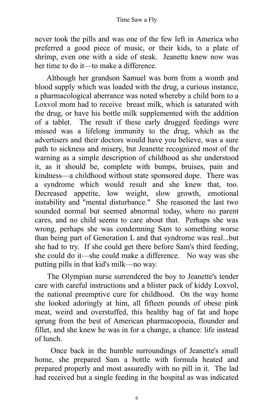never took the pills and was one of the few left in America who preferred a good piece of music, or their kids, to a plate of shrimp, even one with a side of steak. Jeanette knew now was her time to do it—to make a difference

Although her grandson Samuel was born from a womb and blood supply which was loaded with the drug, a curious instance, a pharmacological aberrance was noted whereby a child born to a Loxvol mom had to receive breast milk, which is saturated with the drug, or have his bottle milk supplemented with the addition of a tablet. The result if these early drugged feedings were missed was a lifelong immunity to the drug, which as the advertisers and their doctors would have you believe, was a sure path to sickness and misery, but Jeanette recognized most of the warning as a simple description of childhood as she understood it, as it should be, complete with bumps, bruises, pain and kindness––a childhood without state sponsored dope. There was a syndrome which would result and she knew that, too. Decreased appetite, low weight, slow growth, emotional instability and "mental disturbance." She reasoned the last two sounded normal but seemed abnormal today, where no parent cares, and no child seems to care about that. Perhaps she was wrong, perhaps she was condemning Sam to something worse than being part of Generation L and that syndrome was real...but she had to try. If she could get there before Sam's third feeding, she could do it––she could make a difference. No way was she putting pills in that kid's milk––no way.

The Olympian nurse surrendered the boy to Jeanette's tender care with careful instructions and a blister pack of kiddy Loxvol, the national preemptive cure for childhood. On the way home she looked adoringly at him, all fifteen pounds of obese pink meat, weird and overstuffed, this healthy bag of fat and hope sprung from the best of American pharmacopoeia, flounder and fillet, and she knew he was in for a change, a chance: life instead of lunch.

Once back in the humble surroundings of Jeanette's small home, she prepared Sam a bottle with formula heated and prepared properly and most assuredly with no pill in it. The lad had received but a single feeding in the hospital as was indicated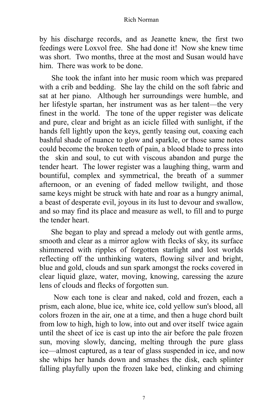by his discharge records, and as Jeanette knew, the first two feedings were Loxvol free. She had done it! Now she knew time was short. Two months, three at the most and Susan would have him. There was work to be done.

She took the infant into her music room which was prepared with a crib and bedding. She lay the child on the soft fabric and sat at her piano. Although her surroundings were humble, and her lifestyle spartan, her instrument was as her talent––the very finest in the world. The tone of the upper register was delicate and pure, clear and bright as an icicle filled with sunlight, if the hands fell lightly upon the keys, gently teasing out, coaxing each bashful shade of nuance to glow and sparkle, or those same notes could become the broken teeth of pain, a blood blade to press into the skin and soul, to cut with viscous abandon and purge the tender heart. The lower register was a laughing thing, warm and bountiful, complex and symmetrical, the breath of a summer afternoon, or an evening of faded mellow twilight, and those same keys might be struck with hate and roar as a hungry animal, a beast of desperate evil, joyous in its lust to devour and swallow, and so may find its place and measure as well, to fill and to purge the tender heart.

She began to play and spread a melody out with gentle arms, smooth and clear as a mirror aglow with flecks of sky, its surface shimmered with ripples of forgotten starlight and lost worlds reflecting off the unthinking waters, flowing silver and bright, blue and gold, clouds and sun spark amongst the rocks covered in clear liquid glaze, water, moving, knowing, caressing the azure lens of clouds and flecks of forgotten sun.

Now each tone is clear and naked, cold and frozen, each a prism, each alone, blue ice, white ice, cold yellow sun's blood, all colors frozen in the air, one at a time, and then a huge chord built from low to high, high to low, into out and over itself twice again until the sheet of ice is cast up into the air before the pale frozen sun, moving slowly, dancing, melting through the pure glass ice––almost captured, as a tear of glass suspended in ice, and now she whips her hands down and smashes the disk, each splinter falling playfully upon the frozen lake bed, clinking and chiming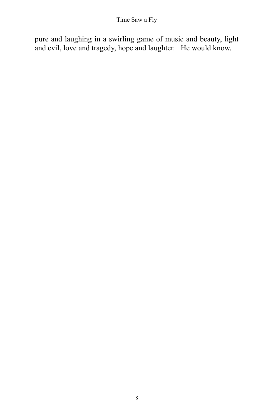pure and laughing in a swirling game of music and beauty, light and evil, love and tragedy, hope and laughter. He would know.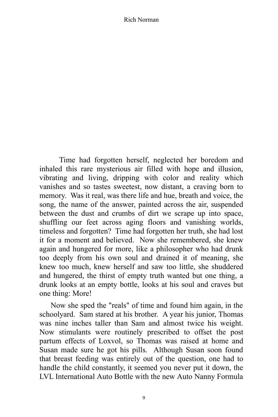Time had forgotten herself, neglected her boredom and inhaled this rare mysterious air filled with hope and illusion, vibrating and living, dripping with color and reality which vanishes and so tastes sweetest, now distant, a craving born to memory. Was it real, was there life and hue, breath and voice, the song, the name of the answer, painted across the air, suspended between the dust and crumbs of dirt we scrape up into space, shuffling our feet across aging floors and vanishing worlds, timeless and forgotten? Time had forgotten her truth, she had lost it for a moment and believed. Now she remembered, she knew again and hungered for more, like a philosopher who had drunk too deeply from his own soul and drained it of meaning, she knew too much, knew herself and saw too little, she shuddered and hungered, the thirst of empty truth wanted but one thing, a drunk looks at an empty bottle, looks at his soul and craves but one thing: More!

Now she sped the "reals" of time and found him again, in the schoolyard. Sam stared at his brother. A year his junior, Thomas was nine inches taller than Sam and almost twice his weight. Now stimulants were routinely prescribed to offset the post partum effects of Loxvol, so Thomas was raised at home and Susan made sure he got his pills. Although Susan soon found that breast feeding was entirely out of the question, one had to handle the child constantly, it seemed you never put it down, the LVL International Auto Bottle with the new Auto Nanny Formula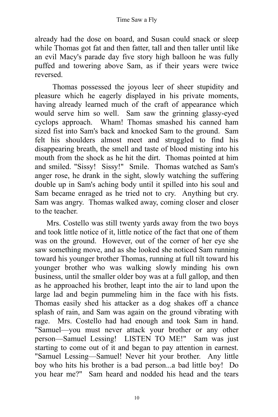already had the dose on board, and Susan could snack or sleep while Thomas got fat and then fatter, tall and then taller until like an evil Macy's parade day five story high balloon he was fully puffed and towering above Sam, as if their years were twice reversed.

Thomas possessed the joyous leer of sheer stupidity and pleasure which he eagerly displayed in his private moments, having already learned much of the craft of appearance which would serve him so well. Sam saw the grinning glassy-eyed cyclops approach. Wham! Thomas smashed his canned ham sized fist into Sam's back and knocked Sam to the ground. Sam felt his shoulders almost meet and struggled to find his disappearing breath, the smell and taste of blood misting into his mouth from the shock as he hit the dirt. Thomas pointed at him and smiled. "Sissy! Sissy!" Smile. Thomas watched as Sam's anger rose, he drank in the sight, slowly watching the suffering double up in Sam's aching body until it spilled into his soul and Sam became enraged as he tried not to cry. Anything but cry. Sam was angry. Thomas walked away, coming closer and closer to the teacher.

Mrs. Costello was still twenty yards away from the two boys and took little notice of it, little notice of the fact that one of them was on the ground. However, out of the corner of her eye she saw something move, and as she looked she noticed Sam running toward his younger brother Thomas, running at full tilt toward his younger brother who was walking slowly minding his own business, until the smaller older boy was at a full gallop, and then as he approached his brother, leapt into the air to land upon the large lad and begin pummeling him in the face with his fists. Thomas easily shed his attacker as a dog shakes off a chance splash of rain, and Sam was again on the ground vibrating with rage. Mrs. Costello had had enough and took Sam in hand. "Samuel––you must never attack your brother or any other person––Samuel Lessing! LISTEN TO ME!" Sam was just starting to come out of it and began to pay attention in earnest. "Samuel Lessing––Samuel! Never hit your brother. Any little boy who hits his brother is a bad person...a bad little boy! Do you hear me?" Sam heard and nodded his head and the tears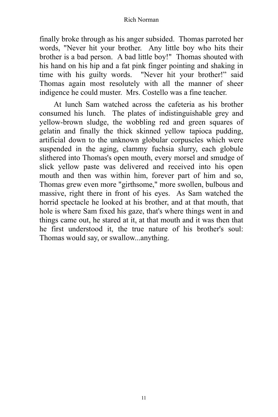finally broke through as his anger subsided. Thomas parroted her words, "Never hit your brother. Any little boy who hits their brother is a bad person. A bad little boy!" Thomas shouted with his hand on his hip and a fat pink finger pointing and shaking in time with his guilty words. "Never hit your brother!" said Thomas again most resolutely with all the manner of sheer indigence he could muster. Mrs. Costello was a fine teacher.

At lunch Sam watched across the cafeteria as his brother consumed his lunch. The plates of indistinguishable grey and yellow-brown sludge, the wobbling red and green squares of gelatin and finally the thick skinned yellow tapioca pudding, artificial down to the unknown globular corpuscles which were suspended in the aging, clammy fuchsia slurry, each globule slithered into Thomas's open mouth, every morsel and smudge of slick yellow paste was delivered and received into his open mouth and then was within him, forever part of him and so, Thomas grew even more "girthsome," more swollen, bulbous and massive, right there in front of his eyes. As Sam watched the horrid spectacle he looked at his brother, and at that mouth, that hole is where Sam fixed his gaze, that's where things went in and things came out, he stared at it, at that mouth and it was then that he first understood it, the true nature of his brother's soul: Thomas would say, or swallow...anything.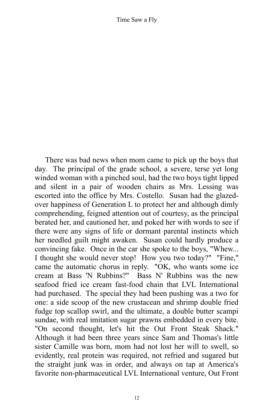There was bad news when mom came to pick up the boys that day. The principal of the grade school, a severe, terse yet long winded woman with a pinched soul, had the two boys tight lipped and silent in a pair of wooden chairs as Mrs. Lessing was escorted into the office by Mrs. Costello. Susan had the glazedover happiness of Generation L to protect her and although dimly comprehending, feigned attention out of courtesy, as the principal berated her, and cautioned her, and poked her with words to see if there were any signs of life or dormant parental instincts which her needled guilt might awaken. Susan could hardly produce a convincing fake. Once in the car she spoke to the boys, "Whew... I thought she would never stop! How you two today?" "Fine," came the automatic chorus in reply. "OK, who wants some ice cream at Bass 'N Rubbins?" Bass N' Rubbins was the new seafood fried ice cream fast-food chain that LVL International had purchased. The special they had been pushing was a two for one: a side scoop of the new crustacean and shrimp double fried fudge top scallop swirl, and the ultimate, a double butter scampi sundae, with real imitation sugar prawns embedded in every bite. "On second thought, let's hit the Out Front Steak Shack." Although it had been three years since Sam and Thomas's little sister Camille was born, mom had not lost her will to swell, so evidently, real protein was required, not refried and sugared but the straight junk was in order, and always on tap at America's favorite non-pharmaceutical LVL International venture, Out Front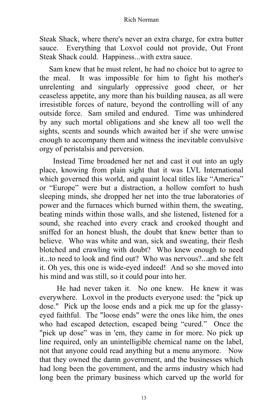Steak Shack, where there's never an extra charge, for extra butter sauce. Everything that Loxvol could not provide, Out Front Steak Shack could. Happiness...with extra sauce.

Sam knew that he must relent, he had no choice but to agree to the meal. It was impossible for him to fight his mother's unrelenting and singularly oppressive good cheer, or her ceaseless appetite, any more than his building nausea, as all were irresistible forces of nature, beyond the controlling will of any outside force. Sam smiled and endured. Time was unhindered by any such mortal obligations and she knew all too well the sights, scents and sounds which awaited her if she were unwise enough to accompany them and witness the inevitable convulsive orgy of peristalsis and perversion.

Instead Time broadened her net and cast it out into an ugly place, knowing from plain sight that it was LVL International which governed this world, and quaint local titles like "America" or "Europe" were but a distraction, a hollow comfort to hush sleeping minds, she dropped her net into the true laboratories of power and the furnaces which burned within them, the sweating, beating minds within those walls, and she listened, listened for a sound, she reached into every crack and crooked thought and sniffed for an honest blush, the doubt that knew better than to believe. Who was white and wan, sick and sweating, their flesh blotched and crawling with doubt? Who knew enough to need it...to need to look and find out? Who was nervous?...and she felt it. Oh yes, this one is wide-eyed indeed! And so she moved into his mind and was still, so it could pour into her.

He had never taken it. No one knew. He knew it was everywhere. Loxvol in the products everyone used: the "pick up dose." Pick up the loose ends and a pick me up for the glassyeyed faithful. The "loose ends" were the ones like him, the ones who had escaped detection, escaped being "cured." Once the "pick up dose" was in 'em, they came in for more. No pick up line required, only an unintelligible chemical name on the label, not that anyone could read anything but a menu anymore. Now that they owned the damn government, and the businesses which had long been the government, and the arms industry which had long been the primary business which carved up the world for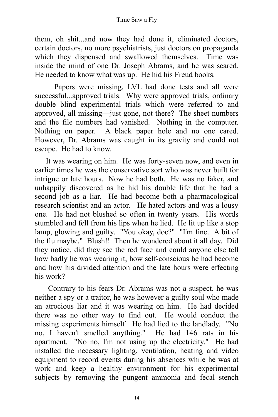them, oh shit...and now they had done it, eliminated doctors, certain doctors, no more psychiatrists, just doctors on propaganda which they dispensed and swallowed themselves. Time was inside the mind of one Dr. Joseph Abrams, and he was scared. He needed to know what was up. He hid his Freud books.

Papers were missing, LVL had done tests and all were successful...approved trials. Why were approved trials, ordinary double blind experimental trials which were referred to and approved, all missing––just gone, not there? The sheet numbers and the file numbers had vanished. Nothing in the computer. Nothing on paper. A black paper hole and no one cared. However, Dr. Abrams was caught in its gravity and could not escape. He had to know.

It was wearing on him. He was forty-seven now, and even in earlier times he was the conservative sort who was never built for intrigue or late hours. Now he had both. He was no faker, and unhappily discovered as he hid his double life that he had a second job as a liar. He had become both a pharmacological research scientist and an actor. He hated actors and was a lousy one. He had not blushed so often in twenty years. His words stumbled and fell from his lips when he lied. He lit up like a stop lamp, glowing and guilty. "You okay, doc?" "I'm fine. A bit of the flu maybe." Blush!! Then he wondered about it all day. Did they notice, did they see the red face and could anyone else tell how badly he was wearing it, how self-conscious he had become and how his divided attention and the late hours were effecting his work?

Contrary to his fears Dr. Abrams was not a suspect, he was neither a spy or a traitor, he was however a guilty soul who made an atrocious liar and it was wearing on him. He had decided there was no other way to find out. He would conduct the missing experiments himself. He had lied to the landlady. "No no, I haven't smelled anything." He had 146 rats in his apartment. "No no, I'm not using up the electricity." He had installed the necessary lighting, ventilation, heating and video equipment to record events during his absences while he was at work and keep a healthy environment for his experimental subjects by removing the pungent ammonia and fecal stench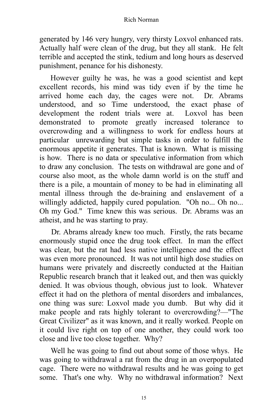generated by 146 very hungry, very thirsty Loxvol enhanced rats. Actually half were clean of the drug, but they all stank. He felt terrible and accepted the stink, tedium and long hours as deserved punishment, penance for his dishonesty.

However guilty he was, he was a good scientist and kept excellent records, his mind was tidy even if by the time he arrived home each day, the cages were not. Dr. Abrams understood, and so Time understood, the exact phase of development the rodent trials were at. Loxvol has been demonstrated to promote greatly increased tolerance to overcrowding and a willingness to work for endless hours at particular unrewarding but simple tasks in order to fulfill the enormous appetite it generates. That is known. What is missing is how. There is no data or speculative information from which to draw any conclusion. The tests on withdrawal are gone and of course also moot, as the whole damn world is on the stuff and there is a pile, a mountain of money to be had in eliminating all mental illness through the de-braining and enslavement of a willingly addicted, happily cured population. "Oh no... Oh no... Oh my God." Time knew this was serious. Dr. Abrams was an atheist, and he was starting to pray.

Dr. Abrams already knew too much. Firstly, the rats became enormously stupid once the drug took effect. In man the effect was clear, but the rat had less native intelligence and the effect was even more pronounced. It was not until high dose studies on humans were privately and discreetly conducted at the Haitian Republic research branch that it leaked out, and then was quickly denied. It was obvious though, obvious just to look. Whatever effect it had on the plethora of mental disorders and imbalances, one thing was sure: Loxvol made you dumb. But why did it make people and rats highly tolerant to overcrowding?––"The Great Civilizer" as it was known, and it really worked. People on it could live right on top of one another, they could work too close and live too close together. Why?

Well he was going to find out about some of those whys. He was going to withdrawal a rat from the drug in an overpopulated cage. There were no withdrawal results and he was going to get some. That's one why. Why no withdrawal information? Next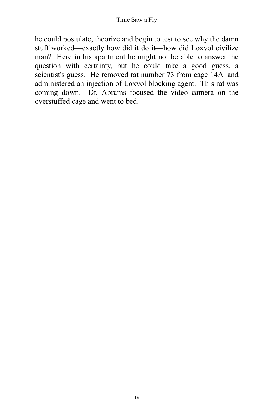he could postulate, theorize and begin to test to see why the damn stuff worked––exactly how did it do it––how did Loxvol civilize man? Here in his apartment he might not be able to answer the question with certainty, but he could take a good guess, a scientist's guess. He removed rat number 73 from cage 14A and administered an injection of Loxvol blocking agent. This rat was coming down. Dr. Abrams focused the video camera on the overstuffed cage and went to bed.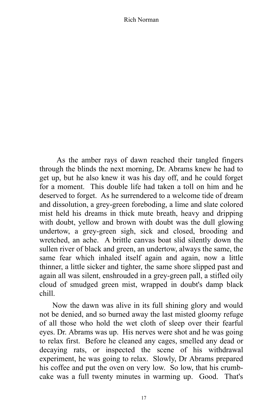As the amber rays of dawn reached their tangled fingers through the blinds the next morning, Dr. Abrams knew he had to get up, but he also knew it was his day off, and he could forget for a moment. This double life had taken a toll on him and he deserved to forget. As he surrendered to a welcome tide of dream and dissolution, a grey-green foreboding, a lime and slate colored mist held his dreams in thick mute breath, heavy and dripping with doubt, yellow and brown with doubt was the dull glowing undertow, a grey-green sigh, sick and closed, brooding and wretched, an ache. A brittle canvas boat slid silently down the sullen river of black and green, an undertow, always the same, the same fear which inhaled itself again and again, now a little thinner, a little sicker and tighter, the same shore slipped past and again all was silent, enshrouded in a grey-green pall, a stifled oily cloud of smudged green mist, wrapped in doubt's damp black chill.

Now the dawn was alive in its full shining glory and would not be denied, and so burned away the last misted gloomy refuge of all those who hold the wet cloth of sleep over their fearful eyes. Dr. Abrams was up. His nerves were shot and he was going to relax first. Before he cleaned any cages, smelled any dead or decaying rats, or inspected the scene of his withdrawal experiment, he was going to relax. Slowly, Dr Abrams prepared his coffee and put the oven on very low. So low, that his crumbcake was a full twenty minutes in warming up. Good. That's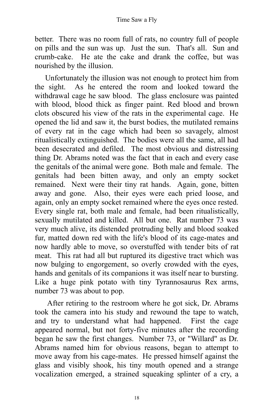better. There was no room full of rats, no country full of people on pills and the sun was up. Just the sun. That's all. Sun and crumb-cake. He ate the cake and drank the coffee, but was nourished by the illusion.

Unfortunately the illusion was not enough to protect him from the sight. As he entered the room and looked toward the withdrawal cage he saw blood. The glass enclosure was painted with blood, blood thick as finger paint. Red blood and brown clots obscured his view of the rats in the experimental cage. He opened the lid and saw it, the burst bodies, the mutilated remains of every rat in the cage which had been so savagely, almost ritualistically extinguished. The bodies were all the same, all had been desecrated and defiled. The most obvious and distressing thing Dr. Abrams noted was the fact that in each and every case the genitals of the animal were gone. Both male and female. The genitals had been bitten away, and only an empty socket remained. Next were their tiny rat hands. Again, gone, bitten away and gone. Also, their eyes were each pried loose, and again, only an empty socket remained where the eyes once rested. Every single rat, both male and female, had been ritualistically, sexually mutilated and killed. All but one. Rat number 73 was very much alive, its distended protruding belly and blood soaked fur, matted down red with the life's blood of its cage-mates and now hardly able to move, so overstuffed with tender bits of rat meat. This rat had all but ruptured its digestive tract which was now bulging to engorgement, so overly crowded with the eyes, hands and genitals of its companions it was itself near to bursting. Like a huge pink potato with tiny Tyrannosaurus Rex arms, number 73 was about to pop.

After retiring to the restroom where he got sick, Dr. Abrams took the camera into his study and rewound the tape to watch, and try to understand what had happened. First the cage appeared normal, but not forty-five minutes after the recording began he saw the first changes. Number 73, or "Willard" as Dr. Abrams named him for obvious reasons, began to attempt to move away from his cage-mates. He pressed himself against the glass and visibly shook, his tiny mouth opened and a strange vocalization emerged, a strained squeaking splinter of a cry, a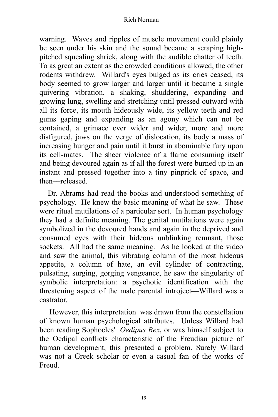warning. Waves and ripples of muscle movement could plainly be seen under his skin and the sound became a scraping highpitched squealing shriek, along with the audible chatter of teeth. To as great an extent as the crowded conditions allowed, the other rodents withdrew. Willard's eyes bulged as its cries ceased, its body seemed to grow larger and larger until it became a single quivering vibration, a shaking, shuddering, expanding and growing lung, swelling and stretching until pressed outward with all its force, its mouth hideously wide, its yellow teeth and red gums gaping and expanding as an agony which can not be contained, a grimace ever wider and wider, more and more disfigured, jaws on the verge of dislocation, its body a mass of increasing hunger and pain until it burst in abominable fury upon its cell-mates. The sheer violence of a flame consuming itself and being devoured again as if all the forest were burned up in an instant and pressed together into a tiny pinprick of space, and then––released.

Dr. Abrams had read the books and understood something of psychology. He knew the basic meaning of what he saw. These were ritual mutilations of a particular sort. In human psychology they had a definite meaning. The genital mutilations were again symbolized in the devoured hands and again in the deprived and consumed eyes with their hideous unblinking remnant, those sockets. All had the same meaning. As he looked at the video and saw the animal, this vibrating column of the most hideous appetite, a column of hate, an evil cylinder of contracting, pulsating, surging, gorging vengeance, he saw the singularity of symbolic interpretation: a psychotic identification with the threatening aspect of the male parental introject––Willard was a castrator.

However, this interpretation was drawn from the constellation of known human psychological attributes. Unless Willard had been reading Sophocles' *Oedipus Rex*, or was himself subject to the Oedipal conflicts characteristic of the Freudian picture of human development, this presented a problem. Surely Willard was not a Greek scholar or even a casual fan of the works of Freud.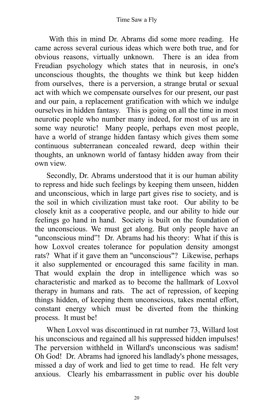With this in mind Dr. Abrams did some more reading. He came across several curious ideas which were both true, and for obvious reasons, virtually unknown. There is an idea from Freudian psychology which states that in neurosis, in one's unconscious thoughts, the thoughts we think but keep hidden from ourselves, there is a perversion, a strange brutal or sexual act with which we compensate ourselves for our present, our past and our pain, a replacement gratification with which we indulge ourselves in hidden fantasy. This is going on all the time in most neurotic people who number many indeed, for most of us are in some way neurotic! Many people, perhaps even most people, have a world of strange hidden fantasy which gives them some continuous subterranean concealed reward, deep within their thoughts, an unknown world of fantasy hidden away from their own view.

Secondly, Dr. Abrams understood that it is our human ability to repress and hide such feelings by keeping them unseen, hidden and unconscious, which in large part gives rise to society, and is the soil in which civilization must take root. Our ability to be closely knit as a cooperative people, and our ability to hide our feelings go hand in hand. Society is built on the foundation of the unconscious. We must get along. But only people have an "unconscious mind"! Dr. Abrams had his theory: What if this is how Loxvol creates tolerance for population density amongst rats? What if it gave them an "unconscious"? Likewise, perhaps it also supplemented or encouraged this same facility in man. That would explain the drop in intelligence which was so characteristic and marked as to become the hallmark of Loxvol therapy in humans and rats. The act of repression, of keeping things hidden, of keeping them unconscious, takes mental effort, constant energy which must be diverted from the thinking process. It must be!

When Loxvol was discontinued in rat number 73, Willard lost his unconscious and regained all his suppressed hidden impulses! The perversion withheld in Willard's unconscious was sadism! Oh God! Dr. Abrams had ignored his landlady's phone messages, missed a day of work and lied to get time to read. He felt very anxious. Clearly his embarrassment in public over his double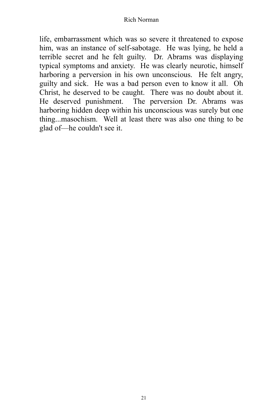life, embarrassment which was so severe it threatened to expose him, was an instance of self-sabotage. He was lying, he held a terrible secret and he felt guilty. Dr. Abrams was displaying typical symptoms and anxiety. He was clearly neurotic, himself harboring a perversion in his own unconscious. He felt angry, guilty and sick. He was a bad person even to know it all. Oh Christ, he deserved to be caught. There was no doubt about it. He deserved punishment. The perversion Dr. Abrams was harboring hidden deep within his unconscious was surely but one thing...masochism. Well at least there was also one thing to be glad of––he couldn't see it.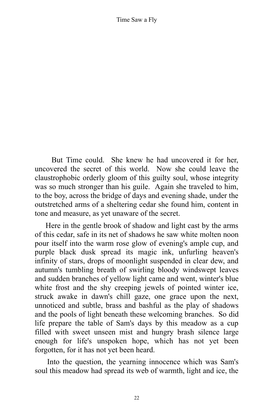But Time could. She knew he had uncovered it for her, uncovered the secret of this world. Now she could leave the claustrophobic orderly gloom of this guilty soul, whose integrity was so much stronger than his guile. Again she traveled to him, to the boy, across the bridge of days and evening shade, under the outstretched arms of a sheltering cedar she found him, content in tone and measure, as yet unaware of the secret.

Here in the gentle brook of shadow and light cast by the arms of this cedar, safe in its net of shadows he saw white molten noon pour itself into the warm rose glow of evening's ample cup, and purple black dusk spread its magic ink, unfurling heaven's infinity of stars, drops of moonlight suspended in clear dew, and autumn's tumbling breath of swirling bloody windswept leaves and sudden branches of yellow light came and went, winter's blue white frost and the shy creeping jewels of pointed winter ice, struck awake in dawn's chill gaze, one grace upon the next, unnoticed and subtle, brass and bashful as the play of shadows and the pools of light beneath these welcoming branches. So did life prepare the table of Sam's days by this meadow as a cup filled with sweet unseen mist and hungry brash silence large enough for life's unspoken hope, which has not yet been forgotten, for it has not yet been heard.

Into the question, the yearning innocence which was Sam's soul this meadow had spread its web of warmth, light and ice, the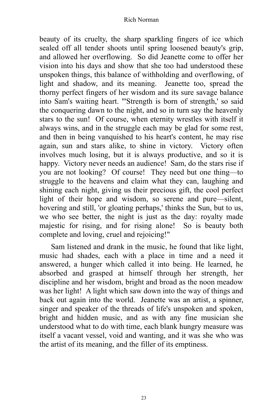beauty of its cruelty, the sharp sparkling fingers of ice which sealed off all tender shoots until spring loosened beauty's grip, and allowed her overflowing. So did Jeanette come to offer her vision into his days and show that she too had understood these unspoken things, this balance of withholding and overflowing, of light and shadow, and its meaning. Jeanette too, spread the thorny perfect fingers of her wisdom and its sure savage balance into Sam's waiting heart. "'Strength is born of strength,' so said the conquering dawn to the night, and so in turn say the heavenly stars to the sun! Of course, when eternity wrestles with itself it always wins, and in the struggle each may be glad for some rest, and then in being vanquished to his heart's content, he may rise again, sun and stars alike, to shine in victory. Victory often involves much losing, but it is always productive, and so it is happy. Victory never needs an audience! Sam, do the stars rise if you are not looking? Of course! They need but one thing––to struggle to the heavens and claim what they can, laughing and shining each night, giving us their precious gift, the cool perfect light of their hope and wisdom, so serene and pure––silent, hovering and still, 'or gloating perhaps,' thinks the Sun, but to us, we who see better, the night is just as the day: royalty made majestic for rising, and for rising alone! So is beauty both complete and loving, cruel and rejoicing!"

Sam listened and drank in the music, he found that like light, music had shades, each with a place in time and a need it answered, a hunger which called it into being. He learned, he absorbed and grasped at himself through her strength, her discipline and her wisdom, bright and broad as the noon meadow was her light! A light which saw down into the way of things and back out again into the world. Jeanette was an artist, a spinner, singer and speaker of the threads of life's unspoken and spoken, bright and hidden music, and as with any fine musician she understood what to do with time, each blank hungry measure was itself a vacant vessel, void and wanting, and it was she who was the artist of its meaning, and the filler of its emptiness.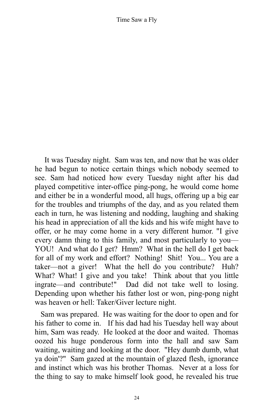It was Tuesday night. Sam was ten, and now that he was older he had begun to notice certain things which nobody seemed to see. Sam had noticed how every Tuesday night after his dad played competitive inter-office ping-pong, he would come home and either be in a wonderful mood, all hugs, offering up a big ear for the troubles and triumphs of the day, and as you related them each in turn, he was listening and nodding, laughing and shaking his head in appreciation of all the kids and his wife might have to offer, or he may come home in a very different humor. "I give every damn thing to this family, and most particularly to you— YOU! And what do I get? Hmm? What in the hell do I get back for all of my work and effort? Nothing! Shit! You... You are a taker––not a giver! What the hell do you contribute? Huh? What? What! I give and you take! Think about that you little ingrate––and contribute!" Dad did not take well to losing. Depending upon whether his father lost or won, ping-pong night was heaven or hell: Taker/Giver lecture night.

Sam was prepared. He was waiting for the door to open and for his father to come in. If his dad had his Tuesday hell way about him, Sam was ready. He looked at the door and waited. Thomas oozed his huge ponderous form into the hall and saw Sam waiting, waiting and looking at the door. "Hey dumb dumb, what ya doin'?" Sam gazed at the mountain of glazed flesh, ignorance and instinct which was his brother Thomas. Never at a loss for the thing to say to make himself look good, he revealed his true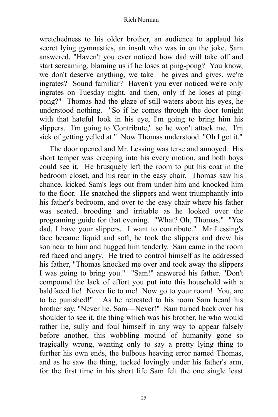wretchedness to his older brother, an audience to applaud his secret lying gymnastics, an insult who was in on the joke. Sam answered, "Haven't you ever noticed how dad will take off and start screaming, blaming us if he loses at ping-pong? You know, we don't deserve anything, we take––he gives and gives, we're ingrates? Sound familiar? Haven't you ever noticed we're only ingrates on Tuesday night, and then, only if he loses at pingpong?" Thomas had the glaze of still waters about his eyes, he understood nothing. "So if he comes through the door tonight with that hateful look in his eye, I'm going to bring him his slippers. I'm going to 'Contribute,' so he won't attack me. I'm sick of getting yelled at." Now Thomas understood. "Oh I get it."

The door opened and Mr. Lessing was terse and annoyed. His short temper was creeping into his every motion, and both boys could see it. He brusquely left the room to put his coat in the bedroom closet, and his rear in the easy chair. Thomas saw his chance, kicked Sam's legs out from under him and knocked him to the floor. He snatched the slippers and went triumphantly into his father's bedroom, and over to the easy chair where his father was seated, brooding and irritable as he looked over the programing guide for that evening. "What? Oh, Thomas." "Yes dad, I have your slippers. I want to contribute." Mr Lessing's face became liquid and soft, he took the slippers and drew his son near to him and hugged him tenderly. Sam came in the room red faced and angry. He tried to control himself as he addressed his father, "Thomas knocked me over and took away the slippers I was going to bring you." "Sam!" answered his father, "Don't compound the lack of effort you put into this household with a baldfaced lie! Never lie to me! Now go to your room! You, are to be punished!" As he retreated to his room Sam heard his brother say, "Never lie, Sam––Never!" Sam turned back over his shoulder to see it, the thing which was his brother, he who would rather lie, sully and foul himself in any way to appear falsely before another, this wobbling mound of humanity gone so tragically wrong, wanting only to say a pretty lying thing to further his own ends, the bulbous heaving error named Thomas, and as he saw the thing, tucked lovingly under his father's arm, for the first time in his short life Sam felt the one single least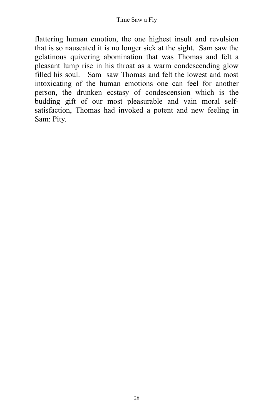flattering human emotion, the one highest insult and revulsion that is so nauseated it is no longer sick at the sight. Sam saw the gelatinous quivering abomination that was Thomas and felt a pleasant lump rise in his throat as a warm condescending glow filled his soul. Sam saw Thomas and felt the lowest and most intoxicating of the human emotions one can feel for another person, the drunken ecstasy of condescension which is the budding gift of our most pleasurable and vain moral selfsatisfaction, Thomas had invoked a potent and new feeling in Sam: Pity.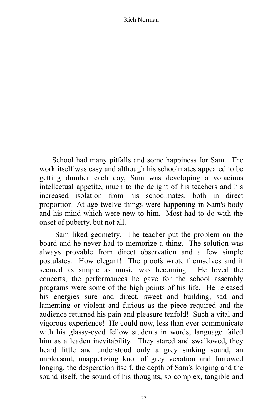School had many pitfalls and some happiness for Sam. The work itself was easy and although his schoolmates appeared to be getting dumber each day, Sam was developing a voracious intellectual appetite, much to the delight of his teachers and his increased isolation from his schoolmates, both in direct proportion. At age twelve things were happening in Sam's body and his mind which were new to him. Most had to do with the onset of puberty, but not all.

Sam liked geometry. The teacher put the problem on the board and he never had to memorize a thing. The solution was always provable from direct observation and a few simple postulates. How elegant! The proofs wrote themselves and it seemed as simple as music was becoming. He loved the concerts, the performances he gave for the school assembly programs were some of the high points of his life. He released his energies sure and direct, sweet and building, sad and lamenting or violent and furious as the piece required and the audience returned his pain and pleasure tenfold! Such a vital and vigorous experience! He could now, less than ever communicate with his glassy-eyed fellow students in words, language failed him as a leaden inevitability. They stared and swallowed, they heard little and understood only a grey sinking sound, an unpleasant, unappetizing knot of grey vexation and furrowed longing, the desperation itself, the depth of Sam's longing and the sound itself, the sound of his thoughts, so complex, tangible and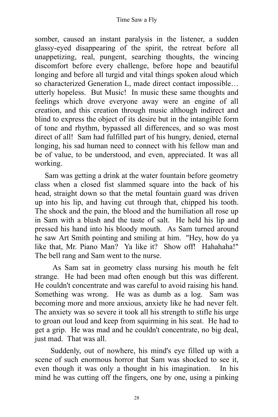somber, caused an instant paralysis in the listener, a sudden glassy-eyed disappearing of the spirit, the retreat before all unappetizing, real, pungent, searching thoughts, the wincing discomfort before every challenge, before hope and beautiful longing and before all turgid and vital things spoken aloud which so characterized Generation L, made direct contact impossible... utterly hopeless. But Music! In music these same thoughts and feelings which drove everyone away were an engine of all creation, and this creation through music although indirect and blind to express the object of its desire but in the intangible form of tone and rhythm, bypassed all differences, and so was most direct of all! Sam had fulfilled part of his hungry, denied, eternal longing, his sad human need to connect with his fellow man and be of value, to be understood, and even, appreciated. It was all working.

Sam was getting a drink at the water fountain before geometry class when a closed fist slammed square into the back of his head, straight down so that the metal fountain guard was driven up into his lip, and having cut through that, chipped his tooth. The shock and the pain, the blood and the humiliation all rose up in Sam with a blush and the taste of salt. He held his lip and pressed his hand into his bloody mouth. As Sam turned around he saw Art Smith pointing and smiling at him. "Hey, how do ya like that, Mr. Piano Man? Ya like it? Show off! Hahahaha!" The bell rang and Sam went to the nurse.

As Sam sat in geometry class nursing his mouth he felt strange. He had been mad often enough but this was different. He couldn't concentrate and was careful to avoid raising his hand. Something was wrong. He was as dumb as a log. Sam was becoming more and more anxious, anxiety like he had never felt. The anxiety was so severe it took all his strength to stifle his urge to groan out loud and keep from squirming in his seat. He had to get a grip. He was mad and he couldn't concentrate, no big deal, just mad. That was all.

Suddenly, out of nowhere, his mind's eye filled up with a scene of such enormous horror that Sam was shocked to see it. even though it was only a thought in his imagination. In his mind he was cutting off the fingers, one by one, using a pinking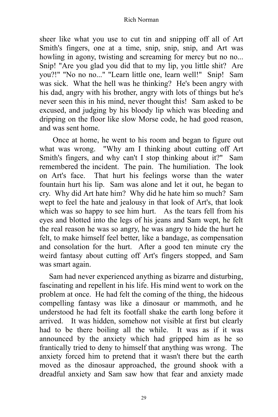sheer like what you use to cut tin and snipping off all of Art Smith's fingers, one at a time, snip, snip, snip, and Art was howling in agony, twisting and screaming for mercy but no no... Snip! "Are you glad you did that to my lip, you little shit? Are you?!" "No no no..." "Learn little one, learn well!" Snip! Sam was sick. What the hell was he thinking? He's been angry with his dad, angry with his brother, angry with lots of things but he's never seen this in his mind, never thought this! Sam asked to be excused, and judging by his bloody lip which was bleeding and dripping on the floor like slow Morse code, he had good reason, and was sent home.

Once at home, he went to his room and began to figure out what was wrong. "Why am I thinking about cutting off Art Smith's fingers, and why can't I stop thinking about it?" Sam remembered the incident. The pain. The humiliation. The look on Art's face. That hurt his feelings worse than the water fountain hurt his lip. Sam was alone and let it out, he began to cry. Why did Art hate him? Why did he hate him so much? Sam wept to feel the hate and jealousy in that look of Art's, that look which was so happy to see him hurt. As the tears fell from his eyes and blotted into the legs of his jeans and Sam wept, he felt the real reason he was so angry, he was angry to hide the hurt he felt, to make himself feel better, like a bandage, as compensation and consolation for the hurt. After a good ten minute cry the weird fantasy about cutting off Art's fingers stopped, and Sam was smart again.

Sam had never experienced anything as bizarre and disturbing, fascinating and repellent in his life. His mind went to work on the problem at once. He had felt the coming of the thing, the hideous compelling fantasy was like a dinosaur or mammoth, and he understood he had felt its footfall shake the earth long before it arrived. It was hidden, somehow not visible at first but clearly had to be there boiling all the while. It was as if it was announced by the anxiety which had gripped him as he so frantically tried to deny to himself that anything was wrong. The anxiety forced him to pretend that it wasn't there but the earth moved as the dinosaur approached, the ground shook with a dreadful anxiety and Sam saw how that fear and anxiety made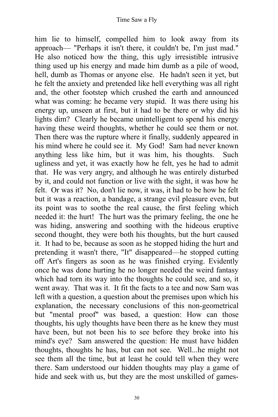him lie to himself, compelled him to look away from its approach–– "Perhaps it isn't there, it couldn't be, I'm just mad." He also noticed how the thing, this ugly irresistible intrusive thing used up his energy and made him dumb as a pile of wood, hell, dumb as Thomas or anyone else. He hadn't seen it yet, but he felt the anxiety and pretended like hell everything was all right and, the other footstep which crushed the earth and announced what was coming: he became very stupid. It was there using his energy up, unseen at first, but it had to be there or why did his lights dim? Clearly he became unintelligent to spend his energy having these weird thoughts, whether he could see them or not. Then there was the rupture where it finally, suddenly appeared in his mind where he could see it. My God! Sam had never known anything less like him, but it was him, his thoughts. Such ugliness and yet, it was exactly how he felt, yes he had to admit that. He was very angry, and although he was entirely disturbed by it, and could not function or live with the sight, it was how he felt. Or was it? No, don't lie now, it was, it had to be how he felt but it was a reaction, a bandage, a strange evil pleasure even, but its point was to soothe the real cause, the first feeling which needed it: the hurt! The hurt was the primary feeling, the one he was hiding, answering and soothing with the hideous eruptive second thought, they were both his thoughts, but the hurt caused it. It had to be, because as soon as he stopped hiding the hurt and pretending it wasn't there, "It" disappeared––he stopped cutting off Art's fingers as soon as he was finished crying. Evidently once he was done hurting he no longer needed the weird fantasy which had torn its way into the thoughts he could see, and so, it went away. That was it. It fit the facts to a tee and now Sam was left with a question, a question about the premises upon which his explanation, the necessary conclusions of this non-geometrical but "mental proof" was based, a question: How can those thoughts, his ugly thoughts have been there as he knew they must have been, but not been his to see before they broke into his mind's eye? Sam answered the question: He must have hidden thoughts, thoughts he has, but can not see. Well...he might not see them all the time, but at least he could tell when they were there. Sam understood our hidden thoughts may play a game of hide and seek with us, but they are the most unskilled of games-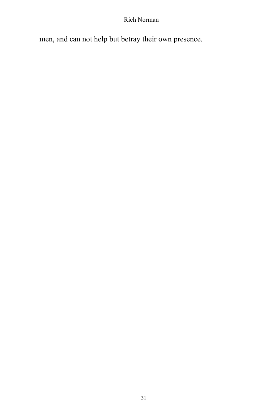men, and can not help but betray their own presence.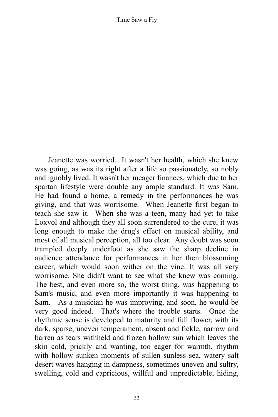Jeanette was worried. It wasn't her health, which she knew was going, as was its right after a life so passionately, so nobly and ignobly lived. It wasn't her meager finances, which due to her spartan lifestyle were double any ample standard. It was Sam. He had found a home, a remedy in the performances he was giving, and that was worrisome. When Jeanette first began to teach she saw it. When she was a teen, many had yet to take Loxvol and although they all soon surrendered to the cure, it was long enough to make the drug's effect on musical ability, and most of all musical perception, all too clear. Any doubt was soon trampled deeply underfoot as she saw the sharp decline in audience attendance for performances in her then blossoming career, which would soon wither on the vine. It was all very worrisome. She didn't want to see what she knew was coming. The best, and even more so, the worst thing, was happening to Sam's music, and even more importantly it was happening to Sam. As a musician he was improving, and soon, he would be very good indeed. That's where the trouble starts. Once the rhythmic sense is developed to maturity and full flower, with its dark, sparse, uneven temperament, absent and fickle, narrow and barren as tears withheld and frozen hollow sun which leaves the skin cold, prickly and wanting, too eager for warmth, rhythm with hollow sunken moments of sullen sunless sea, watery salt desert waves hanging in dampness, sometimes uneven and sultry, swelling, cold and capricious, willful and unpredictable, hiding,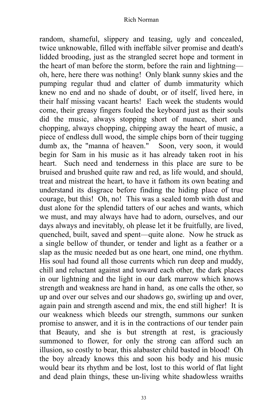random, shameful, slippery and teasing, ugly and concealed, twice unknowable, filled with ineffable silver promise and death's lidded brooding, just as the strangled secret hope and torment in the heart of man before the storm, before the rain and lightning–– oh, here, here there was nothing! Only blank sunny skies and the pumping regular thud and clatter of dumb immaturity which knew no end and no shade of doubt, or of itself, lived here, in their half missing vacant hearts! Each week the students would come, their greasy fingers fouled the keyboard just as their souls did the music, always stopping short of nuance, short and chopping, always chopping, chipping away the heart of music, a piece of endless dull wood, the simple chips born of their tugging dumb ax, the "manna of heaven." Soon, very soon, it would begin for Sam in his music as it has already taken root in his heart. Such need and tenderness in this place are sure to be bruised and brushed quite raw and red, as life would, and should, treat and mistreat the heart, to have it fathom its own beating and understand its disgrace before finding the hiding place of true courage, but this! Oh, no! This was a sealed tomb with dust and dust alone for the splendid tatters of our aches and wants, which we must, and may always have had to adorn, ourselves, and our days always and inevitably, oh please let it be fruitfully, are lived, quenched, built, saved and spent––quite alone. Now he struck as a single bellow of thunder, or tender and light as a feather or a slap as the music needed but as one heart, one mind, one rhythm. His soul had found all those currents which run deep and muddy, chill and reluctant against and toward each other, the dark places in our lightning and the light in our dark marrow which knows strength and weakness are hand in hand, as one calls the other, so up and over our selves and our shadows go, swirling up and over, again pain and strength ascend and mix, the end still higher! It is our weakness which bleeds our strength, summons our sunken promise to answer, and it is in the contractions of our tender pain that Beauty, and she is but strength at rest, is graciously summoned to flower, for only the strong can afford such an illusion, so costly to bear, this alabaster child basted in blood! Oh the boy already knows this and soon his body and his music would bear its rhythm and be lost, lost to this world of flat light and dead plain things, these un-living white shadowless wraiths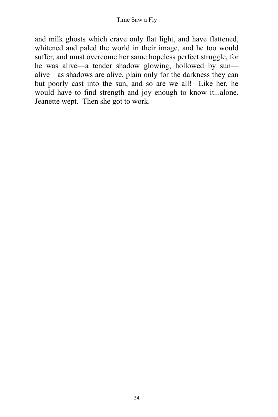and milk ghosts which crave only flat light, and have flattened, whitened and paled the world in their image, and he too would suffer, and must overcome her same hopeless perfect struggle, for he was alive—a tender shadow glowing, hollowed by sun alive––as shadows are alive, plain only for the darkness they can but poorly cast into the sun, and so are we all! Like her, he would have to find strength and joy enough to know it...alone. Jeanette wept. Then she got to work.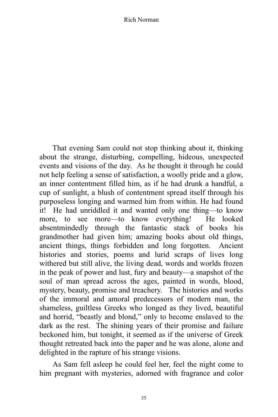That evening Sam could not stop thinking about it, thinking about the strange, disturbing, compelling, hideous, unexpected events and visions of the day. As he thought it through he could not help feeling a sense of satisfaction, a woolly pride and a glow, an inner contentment filled him, as if he had drunk a handful, a cup of sunlight, a blush of contentment spread itself through his purposeless longing and warmed him from within. He had found it! He had unriddled it and wanted only one thing––to know more, to see more––to know everything! He looked absentmindedly through the fantastic stack of books his grandmother had given him; amazing books about old things, ancient things, things forbidden and long forgotten. Ancient histories and stories, poems and lurid scraps of lives long withered but still alive, the living dead, words and worlds frozen in the peak of power and lust, fury and beauty––a snapshot of the soul of man spread across the ages, painted in words, blood, mystery, beauty, promise and treachery. The histories and works of the immoral and amoral predecessors of modern man, the shameless, guiltless Greeks who longed as they lived, beautiful and horrid, "beastly and blond," only to become enslaved to the dark as the rest. The shining years of their promise and failure beckoned him, but tonight, it seemed as if the universe of Greek thought retreated back into the paper and he was alone, alone and delighted in the rapture of his strange visions.

As Sam fell asleep he could feel her, feel the night come to him pregnant with mysteries, adorned with fragrance and color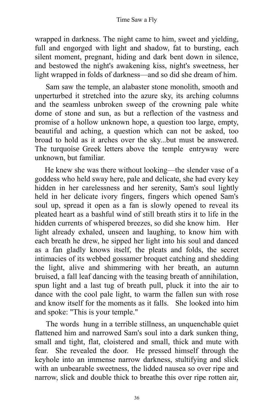wrapped in darkness. The night came to him, sweet and yielding, full and engorged with light and shadow, fat to bursting, each silent moment, pregnant, hiding and dark bent down in silence, and bestowed the night's awakening kiss, night's sweetness, her light wrapped in folds of darkness––and so did she dream of him.

Sam saw the temple, an alabaster stone monolith, smooth and unperturbed it stretched into the azure sky, its arching columns and the seamless unbroken sweep of the crowning pale white dome of stone and sun, as but a reflection of the vastness and promise of a hollow unknown hope, a question too large, empty, beautiful and aching, a question which can not be asked, too broad to hold as it arches over the sky...but must be answered. The turquoise Greek letters above the temple entryway were unknown, but familiar.

He knew she was there without looking––the slender vase of a goddess who held sway here, pale and delicate, she had every key hidden in her carelessness and her serenity, Sam's soul lightly held in her delicate ivory fingers, fingers which opened Sam's soul up, spread it open as a fan is slowly opened to reveal its pleated heart as a bashful wind of still breath stirs it to life in the hidden currents of whispered breezes, so did she know him. Her light already exhaled, unseen and laughing, to know him with each breath he drew, he sipped her light into his soul and danced as a fan gladly knows itself, the pleats and folds, the secret intimacies of its webbed gossamer broquet catching and shedding the light, alive and shimmering with her breath, an autumn bruised, a fall leaf dancing with the teasing breath of annihilation, spun light and a last tug of breath pull, pluck it into the air to dance with the cool pale light, to warm the fallen sun with rose and know itself for the moments as it falls. She looked into him and spoke: "This is your temple."

The words hung in a terrible stillness, an unquenchable quiet flattened him and narrowed Sam's soul into a dark sunken thing, small and tight, flat, cloistered and small, thick and mute with fear. She revealed the door. He pressed himself through the keyhole into an immense narrow darkness, stultifying and slick with an unbearable sweetness, the lidded nausea so over ripe and narrow, slick and double thick to breathe this over ripe rotten air,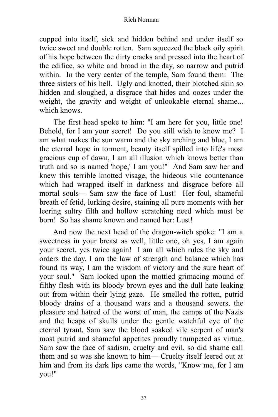cupped into itself, sick and hidden behind and under itself so twice sweet and double rotten. Sam squeezed the black oily spirit of his hope between the dirty cracks and pressed into the heart of the edifice, so white and broad in the day, so narrow and putrid within. In the very center of the temple, Sam found them: The three sisters of his hell. Ugly and knotted, their blotched skin so hidden and sloughed, a disgrace that hides and oozes under the weight, the gravity and weight of unlookable eternal shame... which knows.

The first head spoke to him: "I am here for you, little one! Behold, for I am your secret! Do you still wish to know me? I am what makes the sun warm and the sky arching and blue, I am the eternal hope in torment, beauty itself spilled into life's most gracious cup of dawn, I am all illusion which knows better than truth and so is named 'hope,' I am you!" And Sam saw her and knew this terrible knotted visage, the hideous vile countenance which had wrapped itself in darkness and disgrace before all mortal souls–– Sam saw the face of Lust! Her foul, shameful breath of fetid, lurking desire, staining all pure moments with her leering sultry filth and hollow scratching need which must be born! So has shame known and named her: Lust!

And now the next head of the dragon-witch spoke: "I am a sweetness in your breast as well, little one, oh yes, I am again your secret, yes twice again! I am all which rules the sky and orders the day, I am the law of strength and balance which has found its way, I am the wisdom of victory and the sure heart of your soul." Sam looked upon the mottled grimacing mound of filthy flesh with its bloody brown eyes and the dull hate leaking out from within their lying gaze. He smelled the rotten, putrid bloody drains of a thousand wars and a thousand sewers, the pleasure and hatred of the worst of man, the camps of the Nazis and the heaps of skulls under the gentle watchful eye of the eternal tyrant, Sam saw the blood soaked vile serpent of man's most putrid and shameful appetites proudly trumpeted as virtue. Sam saw the face of sadism, cruelty and evil, so did shame call them and so was she known to him— Cruelty itself leered out at him and from its dark lips came the words, "Know me, for I am you!"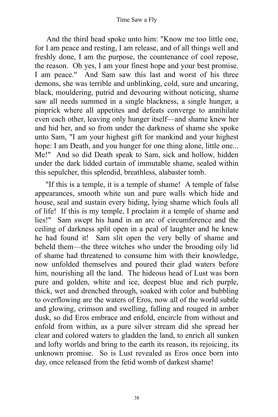And the third head spoke unto him: "Know me too little one, for I am peace and resting, I am release, and of all things well and freshly done, I am the purpose, the countenance of cool repose, the reason. Oh yes, I am your finest hope and your best promise. I am peace." And Sam saw this last and worst of his three demons, she was terrible and unblinking, cold, sure and uncaring, black, mouldering, putrid and devouring without noticing, shame saw all needs summed in a single blackness, a single hunger, a pinprick where all appetites and defeats converge to annihilate even each other, leaving only hunger itself––and shame knew her and hid her, and so from under the darkness of shame she spoke unto Sam, "I am your highest gift for mankind and your highest hope: I am Death, and you hunger for one thing alone, little one... Me!" And so did Death speak to Sam, sick and hollow, hidden under the dark lidded curtain of immutable shame, sealed within this sepulcher, this splendid, breathless, alabaster tomb.

"If this is a temple, it is a temple of shame! A temple of false appearances, smooth white sun and pure walls which hide and house, seal and sustain every hiding, lying shame which fouls all of life! If this is my temple, I proclaim it a temple of shame and lies!" Sam swept his hand in an arc of circumference and the ceiling of darkness split open in a peal of laughter and he knew he had found it! Sam slit open the very belly of shame and beheld them––the three witches who under the brooding oily lid of shame had threatened to consume him with their knowledge, now unfolded themselves and poured their glad waters before him, nourishing all the land. The hideous head of Lust was born pure and golden, white and ice, deepest blue and rich purple, thick, wet and drenched through, soaked with color and bubbling to overflowing are the waters of Eros, now all of the world subtle and glowing, crimson and swelling, falling and rouged in amber dusk, so did Eros embrace and enfold, encircle from without and enfold from within, as a pure silver stream did she spread her clear and colored waters to gladden the land, to enrich all sunken and lofty worlds and bring to the earth its reason, its rejoicing, its unknown promise. So is Lust revealed as Eros once born into day, once released from the fetid womb of darkest shame!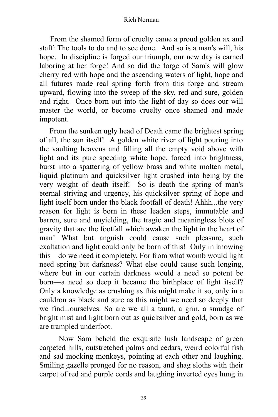From the shamed form of cruelty came a proud golden ax and staff: The tools to do and to see done. And so is a man's will, his hope. In discipline is forged our triumph, our new day is earned laboring at her forge! And so did the forge of Sam's will glow cherry red with hope and the ascending waters of light, hope and all futures made real spring forth from this forge and stream upward, flowing into the sweep of the sky, red and sure, golden and right. Once born out into the light of day so does our will master the world, or become cruelty once shamed and made impotent.

From the sunken ugly head of Death came the brightest spring of all, the sun itself! A golden white river of light pouring into the vaulting heavens and filling all the empty void above with light and its pure speeding white hope, forced into brightness, burst into a spattering of yellow brass and white molten metal, liquid platinum and quicksilver light crushed into being by the very weight of death itself! So is death the spring of man's eternal striving and urgency, his quicksilver spring of hope and light itself born under the black footfall of death! Ahhh...the very reason for light is born in these leaden steps, immutable and barren, sure and unyielding, the tragic and meaningless blots of gravity that are the footfall which awaken the light in the heart of man! What but anguish could cause such pleasure, such exaltation and light could only be born of this! Only in knowing this––do we need it completely. For from what womb would light need spring but darkness? What else could cause such longing, where but in our certain darkness would a need so potent be born––a need so deep it became the birthplace of light itself? Only a knowledge as crushing as this might make it so, only in a cauldron as black and sure as this might we need so deeply that we find...ourselves. So are we all a taunt, a grin, a smudge of bright mist and light born out as quicksilver and gold, born as we are trampled underfoot.

Now Sam beheld the exquisite lush landscape of green carpeted hills, outstretched palms and cedars, weird colorful fish and sad mocking monkeys, pointing at each other and laughing. Smiling gazelle pronged for no reason, and shag sloths with their carpet of red and purple cords and laughing inverted eyes hung in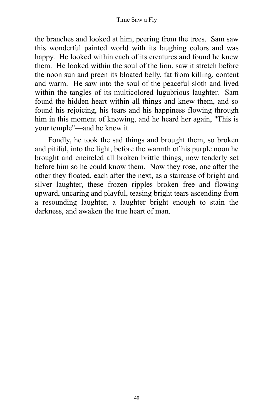the branches and looked at him, peering from the trees. Sam saw this wonderful painted world with its laughing colors and was happy. He looked within each of its creatures and found he knew them. He looked within the soul of the lion, saw it stretch before the noon sun and preen its bloated belly, fat from killing, content and warm. He saw into the soul of the peaceful sloth and lived within the tangles of its multicolored lugubrious laughter. Sam found the hidden heart within all things and knew them, and so found his rejoicing, his tears and his happiness flowing through him in this moment of knowing, and he heard her again, "This is your temple"––and he knew it.

Fondly, he took the sad things and brought them, so broken and pitiful, into the light, before the warmth of his purple noon he brought and encircled all broken brittle things, now tenderly set before him so he could know them. Now they rose, one after the other they floated, each after the next, as a staircase of bright and silver laughter, these frozen ripples broken free and flowing upward, uncaring and playful, teasing bright tears ascending from a resounding laughter, a laughter bright enough to stain the darkness, and awaken the true heart of man.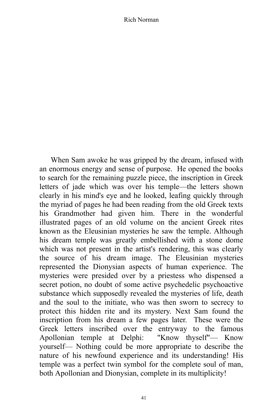When Sam awoke he was gripped by the dream, infused with an enormous energy and sense of purpose. He opened the books to search for the remaining puzzle piece, the inscription in Greek letters of jade which was over his temple––the letters shown clearly in his mind's eye and he looked, leafing quickly through the myriad of pages he had been reading from the old Greek texts his Grandmother had given him. There in the wonderful illustrated pages of an old volume on the ancient Greek rites known as the Eleusinian mysteries he saw the temple. Although his dream temple was greatly embellished with a stone dome which was not present in the artist's rendering, this was clearly the source of his dream image. The Eleusinian mysteries represented the Dionysian aspects of human experience. The mysteries were presided over by a priestess who dispensed a secret potion, no doubt of some active psychedelic psychoactive substance which supposedly revealed the mysteries of life, death and the soul to the initiate, who was then sworn to secrecy to protect this hidden rite and its mystery. Next Sam found the inscription from his dream a few pages later. These were the Greek letters inscribed over the entryway to the famous Apollonian temple at Delphi: "Know thyself"–– Know yourself–– Nothing could be more appropriate to describe the nature of his newfound experience and its understanding! His temple was a perfect twin symbol for the complete soul of man, both Apollonian and Dionysian, complete in its multiplicity!

41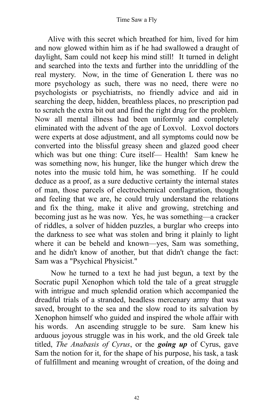Alive with this secret which breathed for him, lived for him and now glowed within him as if he had swallowed a draught of daylight, Sam could not keep his mind still! It turned in delight and searched into the texts and further into the unriddling of the real mystery. Now, in the time of Generation L there was no more psychology as such, there was no need, there were no psychologists or psychiatrists, no friendly advice and aid in searching the deep, hidden, breathless places, no prescription pad to scratch the extra bit out and find the right drug for the problem. Now all mental illness had been uniformly and completely eliminated with the advent of the age of Loxvol. Loxvol doctors were experts at dose adjustment, and all symptoms could now be converted into the blissful greasy sheen and glazed good cheer which was but one thing: Cure itself— Health! Sam knew he was something now, his hunger, like the hunger which drew the notes into the music told him, he was something. If he could deduce as a proof, as a sure deductive certainty the internal states of man, those parcels of electrochemical conflagration, thought and feeling that we are, he could truly understand the relations and fix the thing, make it alive and growing, stretching and becoming just as he was now. Yes, he was something––a cracker of riddles, a solver of hidden puzzles, a burglar who creeps into the darkness to see what was stolen and bring it plainly to light where it can be beheld and known—yes, Sam was something, and he didn't know of another, but that didn't change the fact: Sam was a "Psychical Physicist."

Now he turned to a text he had just begun, a text by the Socratic pupil Xenophon which told the tale of a great struggle with intrigue and much splendid oration which accompanied the dreadful trials of a stranded, headless mercenary army that was saved, brought to the sea and the slow road to its salvation by Xenophon himself who guided and inspired the whole affair with his words. An ascending struggle to be sure. Sam knew his arduous joyous struggle was in his work, and the old Greek tale titled, *The Anabasis of Cyrus*, or the *going up* of Cyrus, gave Sam the notion for it, for the shape of his purpose, his task, a task of fulfillment and meaning wrought of creation, of the doing and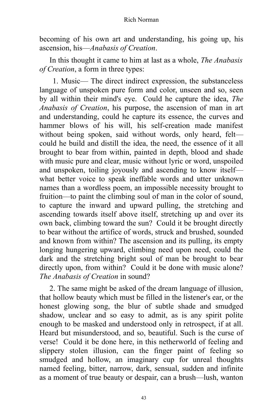becoming of his own art and understanding, his going up, his ascension, his––*Anabasis of Creation*.

In this thought it came to him at last as a whole, *The Anabasis of Creation*, a form in three types:

1. Music–– The direct indirect expression, the substanceless language of unspoken pure form and color, unseen and so, seen by all within their mind's eye. Could he capture the idea, *The Anabasis of Creation*, his purpose, the ascension of man in art and understanding, could he capture its essence, the curves and hammer blows of his will, his self-creation made manifest without being spoken, said without words, only heard, feltcould he build and distill the idea, the need, the essence of it all brought to bear from within, painted in depth, blood and shade with music pure and clear, music without lyric or word, unspoiled and unspoken, toiling joyously and ascending to know itself what better voice to speak ineffable words and utter unknown names than a wordless poem, an impossible necessity brought to fruition––to paint the climbing soul of man in the color of sound, to capture the inward and upward pulling, the stretching and ascending towards itself above itself, stretching up and over its own back, climbing toward the sun? Could it be brought directly to bear without the artifice of words, struck and brushed, sounded and known from within? The ascension and its pulling, its empty longing hungering upward, climbing need upon need, could the dark and the stretching bright soul of man be brought to bear directly upon, from within? Could it be done with music alone? *The Anabasis of Creation* in sound?

2. The same might be asked of the dream language of illusion, that hollow beauty which must be filled in the listener's ear, or the honest glowing song, the blur of subtle shade and smudged shadow, unclear and so easy to admit, as is any spirit polite enough to be masked and understood only in retrospect, if at all. Heard but misunderstood, and so, beautiful. Such is the curse of verse! Could it be done here, in this netherworld of feeling and slippery stolen illusion, can the finger paint of feeling so smudged and hollow, an imaginary cup for unreal thoughts named feeling, bitter, narrow, dark, sensual, sudden and infinite as a moment of true beauty or despair, can a brush––lush, wanton

43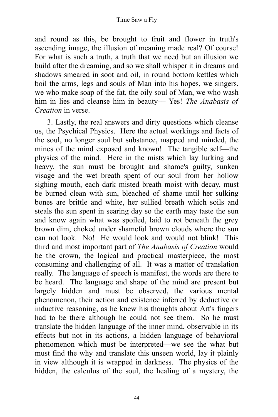## Time Saw a Fly

and round as this, be brought to fruit and flower in truth's ascending image, the illusion of meaning made real? Of course! For what is such a truth, a truth that we need but an illusion we build after the dreaming, and so we shall whisper it in dreams and shadows smeared in soot and oil, in round bottom kettles which boil the arms, legs and souls of Man into his hopes, we singers, we who make soap of the fat, the oily soul of Man, we who wash him in lies and cleanse him in beauty–– Yes! *The Anabasis of Creation* in verse.

3. Lastly, the real answers and dirty questions which cleanse us, the Psychical Physics. Here the actual workings and facts of the soul, no longer soul but substance, mapped and minded, the mines of the mind exposed and known! The tangible self––the physics of the mind. Here in the mists which lay lurking and heavy, the sun must be brought and shame's guilty, sunken visage and the wet breath spent of our soul from her hollow sighing mouth, each dark misted breath moist with decay, must be burned clean with sun, bleached of shame until her sulking bones are brittle and white, her sullied breath which soils and steals the sun spent in searing day so the earth may taste the sun and know again what was spoiled, laid to rot beneath the grey brown dim, choked under shameful brown clouds where the sun can not look. No! He would look and would not blink! This third and most important part of *The Anabasis of Creation* would be the crown, the logical and practical masterpiece, the most consuming and challenging of all. It was a matter of translation really. The language of speech is manifest, the words are there to be heard. The language and shape of the mind are present but largely hidden and must be observed, the various mental phenomenon, their action and existence inferred by deductive or inductive reasoning, as he knew his thoughts about Art's fingers had to be there although he could not see them. So he must translate the hidden language of the inner mind, observable in its effects but not in its actions, a hidden language of behavioral phenomenon which must be interpreted––we see the what but must find the why and translate this unseen world, lay it plainly in view although it is wrapped in darkness. The physics of the hidden, the calculus of the soul, the healing of a mystery, the

44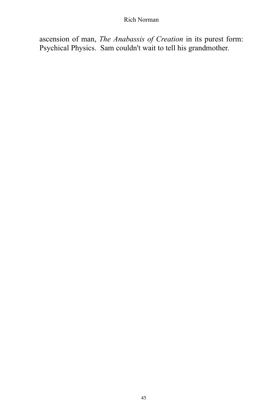ascension of man, *The Anabassis of Creation* in its purest form: Psychical Physics. Sam couldn't wait to tell his grandmother.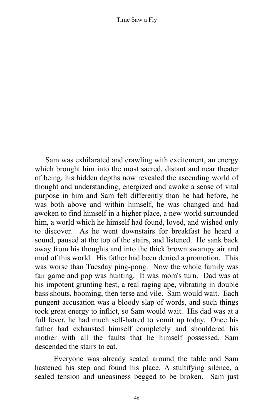Sam was exhilarated and crawling with excitement, an energy which brought him into the most sacred, distant and near theater of being, his hidden depths now revealed the ascending world of thought and understanding, energized and awoke a sense of vital purpose in him and Sam felt differently than he had before, he was both above and within himself, he was changed and had awoken to find himself in a higher place, a new world surrounded him, a world which he himself had found, loved, and wished only to discover. As he went downstairs for breakfast he heard a sound, paused at the top of the stairs, and listened. He sank back away from his thoughts and into the thick brown swampy air and mud of this world. His father had been denied a promotion. This was worse than Tuesday ping-pong. Now the whole family was fair game and pop was hunting. It was mom's turn. Dad was at his impotent grunting best, a real raging ape, vibrating in double bass shouts, booming, then terse and vile. Sam would wait. Each pungent accusation was a bloody slap of words, and such things took great energy to inflict, so Sam would wait. His dad was at a full fever, he had much self-hatred to vomit up today. Once his father had exhausted himself completely and shouldered his mother with all the faults that he himself possessed, Sam descended the stairs to eat.

Everyone was already seated around the table and Sam hastened his step and found his place. A stultifying silence, a sealed tension and uneasiness begged to be broken. Sam just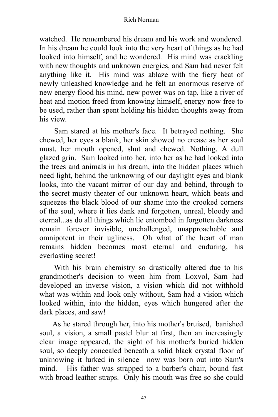watched. He remembered his dream and his work and wondered. In his dream he could look into the very heart of things as he had looked into himself, and he wondered. His mind was crackling with new thoughts and unknown energies, and Sam had never felt anything like it. His mind was ablaze with the fiery heat of newly unleashed knowledge and he felt an enormous reserve of new energy flood his mind, new power was on tap, like a river of heat and motion freed from knowing himself, energy now free to be used, rather than spent holding his hidden thoughts away from his view.

Sam stared at his mother's face. It betrayed nothing. She chewed, her eyes a blank, her skin showed no crease as her soul must, her mouth opened, shut and chewed. Nothing. A dull glazed grin. Sam looked into her, into her as he had looked into the trees and animals in his dream, into the hidden places which need light, behind the unknowing of our daylight eyes and blank looks, into the vacant mirror of our day and behind, through to the secret musty theater of our unknown heart, which beats and squeezes the black blood of our shame into the crooked corners of the soul, where it lies dank and forgotten, unreal, bloody and eternal...as do all things which lie entombed in forgotten darkness remain forever invisible, unchallenged, unapproachable and omnipotent in their ugliness. Oh what of the heart of man remains hidden becomes most eternal and enduring, his everlasting secret!

With his brain chemistry so drastically altered due to his grandmother's decision to ween him from Loxvol, Sam had developed an inverse vision, a vision which did not withhold what was within and look only without, Sam had a vision which looked within, into the hidden, eyes which hungered after the dark places, and saw!

As he stared through her, into his mother's bruised, banished soul, a vision, a small pastel blur at first, then an increasingly clear image appeared, the sight of his mother's buried hidden soul, so deeply concealed beneath a solid black crystal floor of unknowing it lurked in silence––now was born out into Sam's mind. His father was strapped to a barber's chair, bound fast with broad leather straps. Only his mouth was free so she could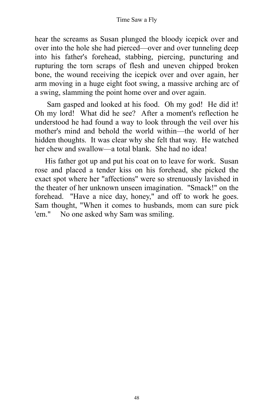hear the screams as Susan plunged the bloody icepick over and over into the hole she had pierced––over and over tunneling deep into his father's forehead, stabbing, piercing, puncturing and rupturing the torn scraps of flesh and uneven chipped broken bone, the wound receiving the icepick over and over again, her arm moving in a huge eight foot swing, a massive arching arc of a swing, slamming the point home over and over again.

Sam gasped and looked at his food. Oh my god! He did it! Oh my lord! What did he see? After a moment's reflection he understood he had found a way to look through the veil over his mother's mind and behold the world within––the world of her hidden thoughts. It was clear why she felt that way. He watched her chew and swallow—a total blank. She had no idea!

His father got up and put his coat on to leave for work. Susan rose and placed a tender kiss on his forehead, she picked the exact spot where her "affections" were so strenuously lavished in the theater of her unknown unseen imagination. "Smack!" on the forehead. "Have a nice day, honey," and off to work he goes. Sam thought, "When it comes to husbands, mom can sure pick 'em." No one asked why Sam was smiling.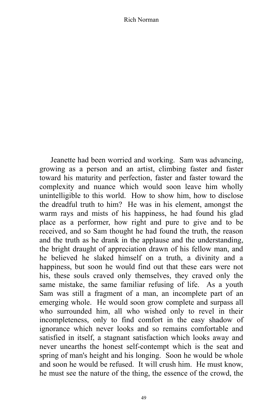Jeanette had been worried and working. Sam was advancing, growing as a person and an artist, climbing faster and faster toward his maturity and perfection, faster and faster toward the complexity and nuance which would soon leave him wholly unintelligible to this world. How to show him, how to disclose the dreadful truth to him? He was in his element, amongst the warm rays and mists of his happiness, he had found his glad place as a performer, how right and pure to give and to be received, and so Sam thought he had found the truth, the reason and the truth as he drank in the applause and the understanding, the bright draught of appreciation drawn of his fellow man, and he believed he slaked himself on a truth, a divinity and a happiness, but soon he would find out that these ears were not his, these souls craved only themselves, they craved only the same mistake, the same familiar refusing of life. As a youth Sam was still a fragment of a man, an incomplete part of an emerging whole. He would soon grow complete and surpass all who surrounded him, all who wished only to revel in their incompleteness, only to find comfort in the easy shadow of ignorance which never looks and so remains comfortable and satisfied in itself, a stagnant satisfaction which looks away and never unearths the honest self-contempt which is the seat and spring of man's height and his longing. Soon he would be whole and soon he would be refused. It will crush him. He must know, he must see the nature of the thing, the essence of the crowd, the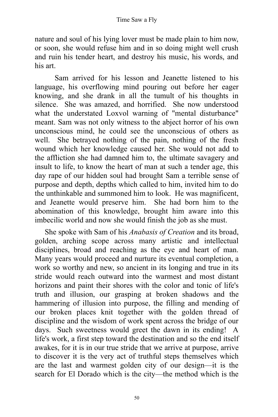nature and soul of his lying lover must be made plain to him now, or soon, she would refuse him and in so doing might well crush and ruin his tender heart, and destroy his music, his words, and his art.

Sam arrived for his lesson and Jeanette listened to his language, his overflowing mind pouring out before her eager knowing, and she drank in all the tumult of his thoughts in silence. She was amazed, and horrified. She now understood what the understated Loxvol warning of "mental disturbance" meant. Sam was not only witness to the abject horror of his own unconscious mind, he could see the unconscious of others as well. She betrayed nothing of the pain, nothing of the fresh wound which her knowledge caused her. She would not add to the affliction she had damned him to, the ultimate savagery and insult to life, to know the heart of man at such a tender age, this day rape of our hidden soul had brought Sam a terrible sense of purpose and depth, depths which called to him, invited him to do the unthinkable and summoned him to look. He was magnificent, and Jeanette would preserve him. She had born him to the abomination of this knowledge, brought him aware into this imbecilic world and now she would finish the job as she must.

She spoke with Sam of his *Anabasis of Creation* and its broad, golden, arching scope across many artistic and intellectual disciplines, broad and reaching as the eye and heart of man. Many years would proceed and nurture its eventual completion, a work so worthy and new, so ancient in its longing and true in its stride would reach outward into the warmest and most distant horizons and paint their shores with the color and tonic of life's truth and illusion, our grasping at broken shadows and the hammering of illusion into purpose, the filling and mending of our broken places knit together with the golden thread of discipline and the wisdom of work spent across the bridge of our days. Such sweetness would greet the dawn in its ending! A life's work, a first step toward the destination and so the end itself awakes, for it is in our true stride that we arrive at purpose, arrive to discover it is the very act of truthful steps themselves which are the last and warmest golden city of our design––it is the search for El Dorado which is the city––the method which is the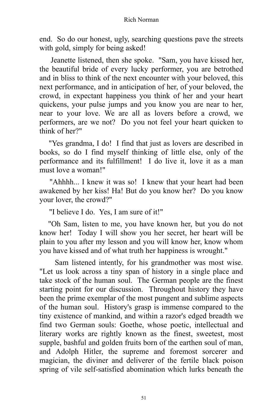end. So do our honest, ugly, searching questions pave the streets with gold, simply for being asked!

Jeanette listened, then she spoke. "Sam, you have kissed her, the beautiful bride of every lucky performer, you are betrothed and in bliss to think of the next encounter with your beloved, this next performance, and in anticipation of her, of your beloved, the crowd, in expectant happiness you think of her and your heart quickens, your pulse jumps and you know you are near to her, near to your love. We are all as lovers before a crowd, we performers, are we not? Do you not feel your heart quicken to think of her?"

"Yes grandma, I do! I find that just as lovers are described in books, so do I find myself thinking of little else, only of the performance and its fulfillment! I do live it, love it as a man must love a woman!"

"Ahhhh... I knew it was so! I knew that your heart had been awakened by her kiss! Ha! But do you know her? Do you know your lover, the crowd?"

"I believe I do. Yes, I am sure of it!"

"Oh Sam, listen to me, you have known her, but you do not know her! Today I will show you her secret, her heart will be plain to you after my lesson and you will know her, know whom you have kissed and of what truth her happiness is wrought."

Sam listened intently, for his grandmother was most wise. "Let us look across a tiny span of history in a single place and take stock of the human soul. The German people are the finest starting point for our discussion. Throughout history they have been the prime exemplar of the most pungent and sublime aspects of the human soul. History's grasp is immense compared to the tiny existence of mankind, and within a razor's edged breadth we find two German souls: Goethe, whose poetic, intellectual and literary works are rightly known as the finest, sweetest, most supple, bashful and golden fruits born of the earthen soul of man, and Adolph Hitler, the supreme and foremost sorcerer and magician, the diviner and deliverer of the fertile black poison spring of vile self-satisfied abomination which lurks beneath the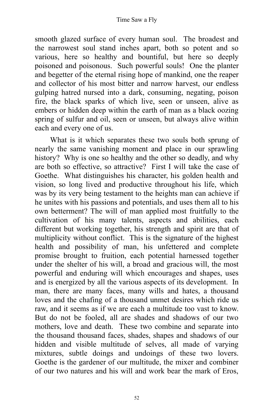smooth glazed surface of every human soul. The broadest and the narrowest soul stand inches apart, both so potent and so various, here so healthy and bountiful, but here so deeply poisoned and poisonous. Such powerful souls! One the planter and begetter of the eternal rising hope of mankind, one the reaper and collector of his most bitter and narrow harvest, our endless gulping hatred nursed into a dark, consuming, negating, poison fire, the black sparks of which live, seen or unseen, alive as embers or hidden deep within the earth of man as a black oozing spring of sulfur and oil, seen or unseen, but always alive within each and every one of us.

What is it which separates these two souls both sprung of nearly the same vanishing moment and place in our sprawling history? Why is one so healthy and the other so deadly, and why are both so effective, so attractive? First I will take the case of Goethe. What distinguishes his character, his golden health and vision, so long lived and productive throughout his life, which was by its very being testament to the heights man can achieve if he unites with his passions and potentials, and uses them all to his own betterment? The will of man applied most fruitfully to the cultivation of his many talents, aspects and abilities, each different but working together, his strength and spirit are that of multiplicity without conflict. This is the signature of the highest health and possibility of man, his unfettered and complete promise brought to fruition, each potential harnessed together under the shelter of his will, a broad and gracious will, the most powerful and enduring will which encourages and shapes, uses and is energized by all the various aspects of its development. In man, there are many faces, many wills and hates, a thousand loves and the chafing of a thousand unmet desires which ride us raw, and it seems as if we are each a multitude too vast to know. But do not be fooled, all are shades and shadows of our two mothers, love and death. These two combine and separate into the thousand thousand faces, shades, shapes and shadows of our hidden and visible multitude of selves, all made of varying mixtures, subtle doings and undoings of these two lovers. Goethe is the gardener of our multitude, the mixer and combiner of our two natures and his will and work bear the mark of Eros,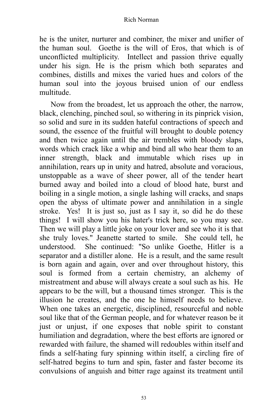he is the uniter, nurturer and combiner, the mixer and unifier of the human soul. Goethe is the will of Eros, that which is of unconflicted multiplicity. Intellect and passion thrive equally under his sign. He is the prism which both separates and combines, distills and mixes the varied hues and colors of the human soul into the joyous bruised union of our endless multitude.

Now from the broadest, let us approach the other, the narrow, black, clenching, pinched soul, so withering in its pinprick vision, so solid and sure in its sudden hateful contractions of speech and sound, the essence of the fruitful will brought to double potency and then twice again until the air trembles with bloody slaps, words which crack like a whip and bind all who hear them to an inner strength, black and immutable which rises up in annihilation, rears up in unity and hatred, absolute and voracious, unstoppable as a wave of sheer power, all of the tender heart burned away and boiled into a cloud of blood hate, burst and boiling in a single motion, a single lashing will cracks, and snaps open the abyss of ultimate power and annihilation in a single stroke. Yes! It is just so, just as I say it, so did he do these things! I will show you his hater's trick here, so you may see. Then we will play a little joke on your lover and see who it is that she truly loves." Jeanette started to smile. She could tell, he understood. She continued: "So unlike Goethe, Hitler is a separator and a distiller alone. He is a result, and the same result is born again and again, over and over throughout history, this soul is formed from a certain chemistry, an alchemy of mistreatment and abuse will always create a soul such as his. He appears to be the will, but a thousand times stronger. This is the illusion he creates, and the one he himself needs to believe. When one takes an energetic, disciplined, resourceful and noble soul like that of the German people, and for whatever reason be it just or unjust, if one exposes that noble spirit to constant humiliation and degradation, where the best efforts are ignored or rewarded with failure, the shamed will redoubles within itself and finds a self-hating fury spinning within itself, a circling fire of self-hatred begins to turn and spin, faster and faster become its convulsions of anguish and bitter rage against its treatment until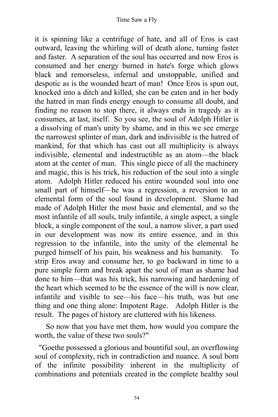it is spinning like a centrifuge of hate, and all of Eros is cast outward, leaving the whirling will of death alone, turning faster and faster. A separation of the soul has occurred and now Eros is consumed and her energy burned in hate's forge which glows black and remorseless, infernal and unstoppable, unified and despotic as is the wounded heart of man! Once Eros is spun out, knocked into a ditch and killed, she can be eaten and in her body the hatred in man finds energy enough to consume all doubt, and finding no reason to stop there, it always ends in tragedy as it consumes, at last, itself. So you see, the soul of Adolph Hitler is a dissolving of man's unity by shame, and in this we see emerge the narrowest splinter of man, dark and indivisible is the hatred of mankind, for that which has cast out all multiplicity is always indivisible, elemental and indestructible as an atom––the black atom at the center of man. This single piece of all the machinery and magic, this is his trick, his reduction of the soul into a single atom. Adolph Hitler reduced his entire wounded soul into one small part of himself––he was a regression, a reversion to an elemental form of the soul found in development. Shame had made of Adolph Hitler the most basic and elemental, and so the most infantile of all souls, truly infantile, a single aspect, a single block, a single component of the soul, a narrow sliver, a part used in our development was now its entire essence, and in this regression to the infantile, into the unity of the elemental he purged himself of his pain, his weakness and his humanity. To strip Eros away and consume her, to go backward in time to a pure simple form and break apart the soul of man as shame had done to him––that was his trick, his narrowing and hardening of the heart which seemed to be the essence of the will is now clear, infantile and visible to see––his face––his truth, was but one thing and one thing alone: Impotent Rage. Adolph Hitler is the result. The pages of history are cluttered with his likeness.

So now that you have met them, how would you compare the worth, the value of these two souls?"

"Goethe possessed a glorious and bountiful soul, an overflowing soul of complexity, rich in contradiction and nuance. A soul born of the infinite possibility inherent in the multiplicity of combinations and potentials created in the complete healthy soul

54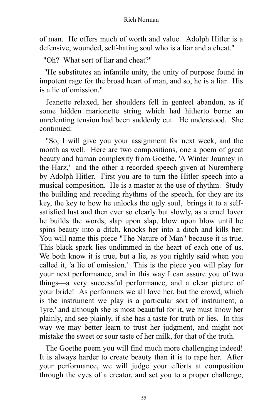of man. He offers much of worth and value. Adolph Hitler is a defensive, wounded, self-hating soul who is a liar and a cheat."

"Oh? What sort of liar and cheat?"

"He substitutes an infantile unity, the unity of purpose found in impotent rage for the broad heart of man, and so, he is a liar. His is a lie of omission."

Jeanette relaxed, her shoulders fell in genteel abandon, as if some hidden marionette string which had hitherto borne an unrelenting tension had been suddenly cut. He understood. She continued:

"So, I will give you your assignment for next week, and the month as well. Here are two compositions, one a poem of great beauty and human complexity from Goethe, 'A Winter Journey in the Harz,' and the other a recorded speech given at Nuremberg by Adolph Hitler. First you are to turn the Hitler speech into a musical composition. He is a master at the use of rhythm. Study the building and receding rhythms of the speech, for they are its key, the key to how he unlocks the ugly soul, brings it to a selfsatisfied lust and then ever so clearly but slowly, as a cruel lover he builds the words, slap upon slap, blow upon blow until he spins beauty into a ditch, knocks her into a ditch and kills her. You will name this piece "The Nature of Man" because it is true. This black spark lies undimmed in the heart of each one of us. We both know it is true, but a lie, as you rightly said when you called it, 'a lie of omission.' This is the piece you will play for your next performance, and in this way I can assure you of two things––a very successful performance, and a clear picture of your bride! As performers we all love her, but the crowd, which is the instrument we play is a particular sort of instrument, a 'lyre,' and although she is most beautiful for it, we must know her plainly, and see plainly, if she has a taste for truth or lies. In this way we may better learn to trust her judgment, and might not mistake the sweet or sour taste of her milk, for that of the truth.

The Goethe poem you will find much more challenging indeed! It is always harder to create beauty than it is to rape her. After your performance, we will judge your efforts at composition through the eyes of a creator, and set you to a proper challenge,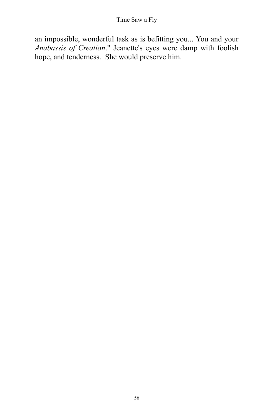an impossible, wonderful task as is befitting you... You and your *Anabassis of Creation*." Jeanette's eyes were damp with foolish hope, and tenderness. She would preserve him.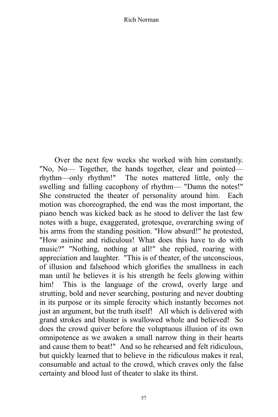Over the next few weeks she worked with him constantly. "No, No— Together, the hands together, clear and pointed rhythm––only rhythm!" The notes mattered little, only the swelling and falling cacophony of rhythm— "Damn the notes!" She constructed the theater of personality around him. Each motion was choreographed, the end was the most important, the piano bench was kicked back as he stood to deliver the last few notes with a huge, exaggerated, grotesque, overarching swing of his arms from the standing position. "How absurd!" he protested, "How asinine and ridiculous! What does this have to do with music?" "Nothing, nothing at all!" she replied, roaring with appreciation and laughter. "This is of theater, of the unconscious, of illusion and falsehood which glorifies the smallness in each man until he believes it is his strength he feels glowing within him! This is the language of the crowd, overly large and strutting, bold and never searching, posturing and never doubting in its purpose or its simple ferocity which instantly becomes not just an argument, but the truth itself! All which is delivered with grand strokes and bluster is swallowed whole and believed! So does the crowd quiver before the voluptuous illusion of its own omnipotence as we awaken a small narrow thing in their hearts and cause them to beat!" And so he rehearsed and felt ridiculous, but quickly learned that to believe in the ridiculous makes it real, consumable and actual to the crowd, which craves only the false certainty and blood lust of theater to slake its thirst.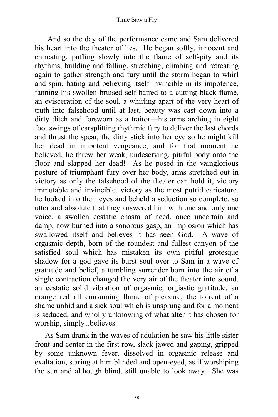And so the day of the performance came and Sam delivered his heart into the theater of lies. He began softly, innocent and entreating, puffing slowly into the flame of self-pity and its rhythms, building and falling, stretching, climbing and retreating again to gather strength and fury until the storm began to whirl and spin, hating and believing itself invincible in its impotence, fanning his swollen bruised self-hatred to a cutting black flame, an evisceration of the soul, a whirling apart of the very heart of truth into falsehood until at last, beauty was cast down into a dirty ditch and forsworn as a traitor—his arms arching in eight foot swings of earsplitting rhythmic fury to deliver the last chords and thrust the spear, the dirty stick into her eye so he might kill her dead in impotent vengeance, and for that moment he believed, he threw her weak, undeserving, pitiful body onto the floor and slapped her dead! As he posed in the vainglorious posture of triumphant fury over her body, arms stretched out in victory as only the falsehood of the theater can hold it, victory immutable and invincible, victory as the most putrid caricature, he looked into their eyes and beheld a seduction so complete, so utter and absolute that they answered him with one and only one voice, a swollen ecstatic chasm of need, once uncertain and damp, now burned into a sonorous gasp, an implosion which has swallowed itself and believes it has seen God. A wave of orgasmic depth, born of the roundest and fullest canyon of the satisfied soul which has mistaken its own pitiful grotesque shadow for a god gave its burst soul over to Sam in a wave of gratitude and belief, a tumbling surrender born into the air of a single contraction changed the very air of the theater into sound, an ecstatic solid vibration of orgasmic, orgiastic gratitude, an orange red all consuming flame of pleasure, the torrent of a shame unhid and a sick soul which is unsprung and for a moment is seduced, and wholly unknowing of what alter it has chosen for worship, simply...believes.

As Sam drank in the waves of adulation he saw his little sister front and center in the first row, slack jawed and gaping, gripped by some unknown fever, dissolved in orgasmic release and exaltation, staring at him blinded and open-eyed, as if worshiping the sun and although blind, still unable to look away. She was

58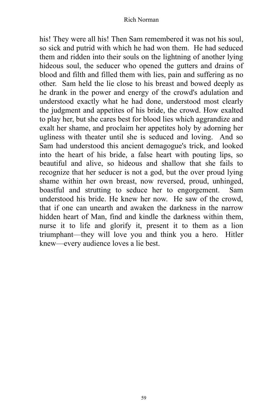his! They were all his! Then Sam remembered it was not his soul, so sick and putrid with which he had won them. He had seduced them and ridden into their souls on the lightning of another lying hideous soul, the seducer who opened the gutters and drains of blood and filth and filled them with lies, pain and suffering as no other. Sam held the lie close to his breast and bowed deeply as he drank in the power and energy of the crowd's adulation and understood exactly what he had done, understood most clearly the judgment and appetites of his bride, the crowd. How exalted to play her, but she cares best for blood lies which aggrandize and exalt her shame, and proclaim her appetites holy by adorning her ugliness with theater until she is seduced and loving. And so Sam had understood this ancient demagogue's trick, and looked into the heart of his bride, a false heart with pouting lips, so beautiful and alive, so hideous and shallow that she fails to recognize that her seducer is not a god, but the over proud lying shame within her own breast, now reversed, proud, unhinged, boastful and strutting to seduce her to engorgement. Sam understood his bride. He knew her now. He saw of the crowd, that if one can unearth and awaken the darkness in the narrow hidden heart of Man, find and kindle the darkness within them, nurse it to life and glorify it, present it to them as a lion triumphant––they will love you and think you a hero. Hitler knew––every audience loves a lie best.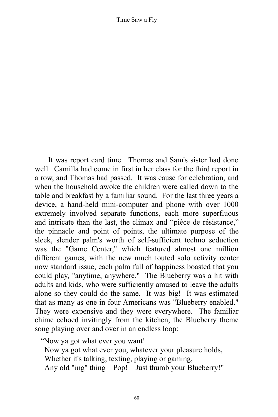It was report card time. Thomas and Sam's sister had done well. Camilla had come in first in her class for the third report in a row, and Thomas had passed. It was cause for celebration, and when the household awoke the children were called down to the table and breakfast by a familiar sound. For the last three years a device, a hand-held mini-computer and phone with over 1000 extremely involved separate functions, each more superfluous and intricate than the last, the climax and "pièce de résistance," the pinnacle and point of points, the ultimate purpose of the sleek, slender palm's worth of self-sufficient techno seduction was the "Game Center," which featured almost one million different games, with the new much touted solo activity center now standard issue, each palm full of happiness boasted that you could play, "anytime, anywhere." The Blueberry was a hit with adults and kids, who were sufficiently amused to leave the adults alone so they could do the same. It was big! It was estimated that as many as one in four Americans was "Blueberry enabled." They were expensive and they were everywhere. The familiar chime echoed invitingly from the kitchen, the Blueberry theme song playing over and over in an endless loop:

"Now ya got what ever you want!

Now ya got what ever you, whatever your pleasure holds, Whether it's talking, texting, playing or gaming,

Any old "ing" thing––Pop!––Just thumb your Blueberry!"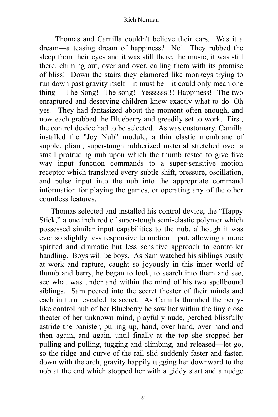Thomas and Camilla couldn't believe their ears. Was it a dream––a teasing dream of happiness? No! They rubbed the sleep from their eyes and it was still there, the music, it was still there, chiming out, over and over, calling them with its promise of bliss! Down the stairs they clamored like monkeys trying to run down past gravity itself––it must be––it could only mean one thing–– The Song! The song! Yessssss!!! Happiness! The two enraptured and deserving children knew exactly what to do. Oh yes! They had fantasized about the moment often enough, and now each grabbed the Blueberry and greedily set to work. First, the control device had to be selected. As was customary, Camilla installed the "Joy Nub" module, a thin elastic membrane of supple, pliant, super-tough rubberized material stretched over a small protruding nub upon which the thumb rested to give five way input function commands to a super-sensitive motion receptor which translated every subtle shift, pressure, oscillation, and pulse input into the nub into the appropriate command information for playing the games, or operating any of the other countless features.

Thomas selected and installed his control device, the "Happy Stick," a one inch rod of super-tough semi-elastic polymer which possessed similar input capabilities to the nub, although it was ever so slightly less responsive to motion input, allowing a more spirited and dramatic but less sensitive approach to controller handling. Boys will be boys. As Sam watched his siblings busily at work and rapture, caught so joyously in this inner world of thumb and berry, he began to look, to search into them and see, see what was under and within the mind of his two spellbound siblings. Sam peered into the secret theater of their minds and each in turn revealed its secret. As Camilla thumbed the berrylike control nub of her Blueberry he saw her within the tiny close theater of her unknown mind, playfully nude, perched blissfully astride the banister, pulling up, hand, over hand, over hand and then again, and again, until finally at the top she stopped her pulling and pulling, tugging and climbing, and released––let go, so the ridge and curve of the rail slid suddenly faster and faster, down with the arch, gravity happily tugging her downward to the nob at the end which stopped her with a giddy start and a nudge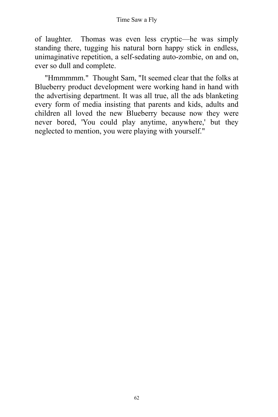of laughter. Thomas was even less cryptic––he was simply standing there, tugging his natural born happy stick in endless, unimaginative repetition, a self-sedating auto-zombie, on and on, ever so dull and complete.

"Hmmmmm." Thought Sam, "It seemed clear that the folks at Blueberry product development were working hand in hand with the advertising department. It was all true, all the ads blanketing every form of media insisting that parents and kids, adults and children all loved the new Blueberry because now they were never bored, 'You could play anytime, anywhere,' but they neglected to mention, you were playing with yourself."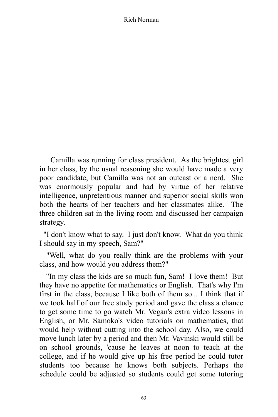Camilla was running for class president. As the brightest girl in her class, by the usual reasoning she would have made a very poor candidate, but Camilla was not an outcast or a nerd. She was enormously popular and had by virtue of her relative intelligence, unpretentious manner and superior social skills won both the hearts of her teachers and her classmates alike. The three children sat in the living room and discussed her campaign strategy.

"I don't know what to say. I just don't know. What do you think I should say in my speech, Sam?"

"Well, what do you really think are the problems with your class, and how would you address them?"

"In my class the kids are so much fun, Sam! I love them! But they have no appetite for mathematics or English. That's why I'm first in the class, because I like both of them so... I think that if we took half of our free study period and gave the class a chance to get some time to go watch Mr. Vegan's extra video lessons in English, or Mr. Samoko's video tutorials on mathematics, that would help without cutting into the school day. Also, we could move lunch later by a period and then Mr. Vavinski would still be on school grounds, 'cause he leaves at noon to teach at the college, and if he would give up his free period he could tutor students too because he knows both subjects. Perhaps the schedule could be adjusted so students could get some tutoring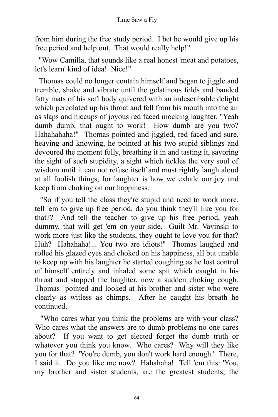from him during the free study period. I bet he would give up his free period and help out. That would really help!"

"Wow Camilla, that sounds like a real honest 'meat and potatoes, let's learn' kind of idea! Nice!"

Thomas could no longer contain himself and began to jiggle and tremble, shake and vibrate until the gelatinous folds and banded fatty mats of his soft body quivered with an indescribable delight which percolated up his throat and fell from his mouth into the air as slaps and hiccups of joyous red faced mocking laughter. "Yeah dumb dumb, that ought to work! How dumb are you two? Hahahahaha!" Thomas pointed and jiggled, red faced and sure, heaving and knowing, he pointed at his two stupid siblings and devoured the moment fully, breathing it in and tasting it, savoring the sight of such stupidity, a sight which tickles the very soul of wisdom until it can not refuse itself and must rightly laugh aloud at all foolish things, for laughter is how we exhale our joy and keep from choking on our happiness.

"So if you tell the class they're stupid and need to work more, tell 'em to give up free period, do you think they'll like you for that?? And tell the teacher to give up his free period, yeah dummy, that will get 'em on your side. Guilt Mr. Vavinski to work more just like the students, they ought to love you for that? Huh? Hahahaha!... You two are idiots!" Thomas laughed and rolled his glazed eyes and choked on his happiness, all but unable to keep up with his laughter he started coughing as he lost control of himself entirely and inhaled some spit which caught in his throat and stopped the laughter, now a sudden choking cough. Thomas pointed and looked at his brother and sister who were clearly as witless as chimps. After he caught his breath he continued,

"Who cares what you think the problems are with your class? Who cares what the answers are to dumb problems no one cares about? If you want to get elected forget the dumb truth or whatever you think you know. Who cares? Why will they like you for that? 'You're dumb, you don't work hard enough.' There, I said it. Do you like me now? Hahahaha! Tell 'em this: 'You, my brother and sister students, are the greatest students, the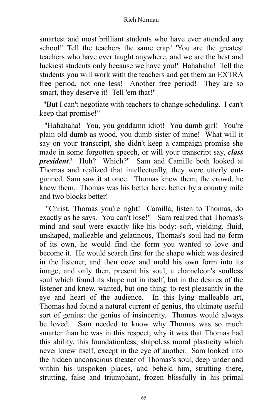smartest and most brilliant students who have ever attended any school!' Tell the teachers the same crap! 'You are the greatest teachers who have ever taught anywhere, and we are the best and luckiest students only because we have you!' Hahahaha! Tell the students you will work with the teachers and get them an EXTRA free period, not one less! Another free period! They are so smart, they deserve it! Tell 'em that!"

"But I can't negotiate with teachers to change scheduling. I can't keep that promise!"

"Hahahaha! You, you goddamn idiot! You dumb girl! You're plain old dumb as wood, you dumb sister of mine! What will it say on your transcript, she didn't keep a campaign promise she made in some forgotten speech, or will your transcript say, *class president?* Huh? Which?" Sam and Camille both looked at Thomas and realized that intellectually, they were utterly outgunned. Sam saw it at once. Thomas knew them, the crowd, he knew them. Thomas was his better here, better by a country mile and two blocks better!

"Christ, Thomas you're right! Camilla, listen to Thomas, do exactly as he says. You can't lose!" Sam realized that Thomas's mind and soul were exactly like his body: soft, yielding, fluid, unshaped, malleable and gelatinous, Thomas's soul had no form of its own, he would find the form you wanted to love and become it. He would search first for the shape which was desired in the listener, and then ooze and mold his own form into its image, and only then, present his soul, a chameleon's soulless soul which found its shape not in itself, but in the desires of the listener and knew, wanted, but one thing: to rest pleasantly in the eye and heart of the audience. In this lying malleable art, Thomas had found a natural current of genius, the ultimate useful sort of genius: the genius of insincerity. Thomas would always be loved. Sam needed to know why Thomas was so much smarter than he was in this respect, why it was that Thomas had this ability, this foundationless, shapeless moral plasticity which never knew itself, except in the eye of another. Sam looked into the hidden unconscious theater of Thomas's soul, deep under and within his unspoken places, and beheld him, strutting there, strutting, false and triumphant, frozen blissfully in his primal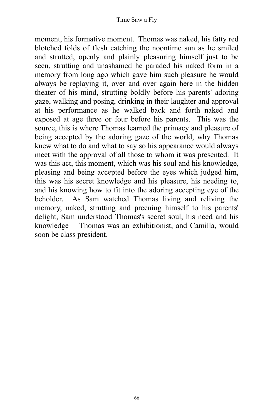moment, his formative moment. Thomas was naked, his fatty red blotched folds of flesh catching the noontime sun as he smiled and strutted, openly and plainly pleasuring himself just to be seen, strutting and unashamed he paraded his naked form in a memory from long ago which gave him such pleasure he would always be replaying it, over and over again here in the hidden theater of his mind, strutting boldly before his parents' adoring gaze, walking and posing, drinking in their laughter and approval at his performance as he walked back and forth naked and exposed at age three or four before his parents. This was the source, this is where Thomas learned the primacy and pleasure of being accepted by the adoring gaze of the world, why Thomas knew what to do and what to say so his appearance would always meet with the approval of all those to whom it was presented. It was this act, this moment, which was his soul and his knowledge, pleasing and being accepted before the eyes which judged him, this was his secret knowledge and his pleasure, his needing to, and his knowing how to fit into the adoring accepting eye of the beholder. As Sam watched Thomas living and reliving the memory, naked, strutting and preening himself to his parents' delight, Sam understood Thomas's secret soul, his need and his knowledge–– Thomas was an exhibitionist, and Camilla, would soon be class president.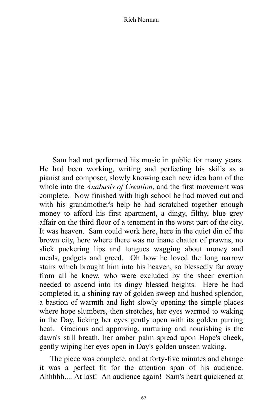Sam had not performed his music in public for many years. He had been working, writing and perfecting his skills as a pianist and composer, slowly knowing each new idea born of the whole into the *Anabasis of Creation*, and the first movement was complete. Now finished with high school he had moved out and with his grandmother's help he had scratched together enough money to afford his first apartment, a dingy, filthy, blue grey affair on the third floor of a tenement in the worst part of the city. It was heaven. Sam could work here, here in the quiet din of the brown city, here where there was no inane chatter of prawns, no slick puckering lips and tongues wagging about money and meals, gadgets and greed. Oh how he loved the long narrow stairs which brought him into his heaven, so blessedly far away from all he knew, who were excluded by the sheer exertion needed to ascend into its dingy blessed heights. Here he had completed it, a shining ray of golden sweep and hushed splendor, a bastion of warmth and light slowly opening the simple places where hope slumbers, then stretches, her eyes warmed to waking in the Day, licking her eyes gently open with its golden purring heat. Gracious and approving, nurturing and nourishing is the dawn's still breath, her amber palm spread upon Hope's cheek, gently wiping her eyes open in Day's golden unseen waking.

The piece was complete, and at forty-five minutes and change it was a perfect fit for the attention span of his audience. Ahhhhh.... At last! An audience again! Sam's heart quickened at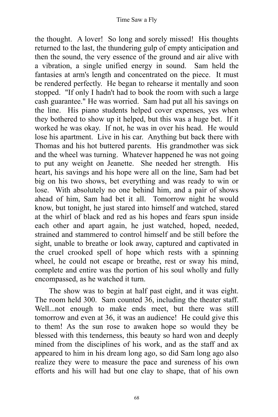the thought. A lover! So long and sorely missed! His thoughts returned to the last, the thundering gulp of empty anticipation and then the sound, the very essence of the ground and air alive with a vibration, a single unified energy in sound. Sam held the fantasies at arm's length and concentrated on the piece. It must be rendered perfectly. He began to rehearse it mentally and soon stopped. "If only I hadn't had to book the room with such a large cash guarantee." He was worried. Sam had put all his savings on the line. His piano students helped cover expenses, yes when they bothered to show up it helped, but this was a huge bet. If it worked he was okay. If not, he was in over his head. He would lose his apartment. Live in his car. Anything but back there with Thomas and his hot buttered parents. His grandmother was sick and the wheel was turning. Whatever happened he was not going to put any weight on Jeanette. She needed her strength. His heart, his savings and his hope were all on the line, Sam had bet big on his two shows, bet everything and was ready to win or lose. With absolutely no one behind him, and a pair of shows ahead of him, Sam had bet it all. Tomorrow night he would know, but tonight, he just stared into himself and watched, stared at the whirl of black and red as his hopes and fears spun inside each other and apart again, he just watched, hoped, needed, strained and stammered to control himself and be still before the sight, unable to breathe or look away, captured and captivated in the cruel crooked spell of hope which rests with a spinning wheel, he could not escape or breathe, rest or sway his mind, complete and entire was the portion of his soul wholly and fully encompassed, as he watched it turn.

The show was to begin at half past eight, and it was eight. The room held 300. Sam counted 36, including the theater staff. Well...not enough to make ends meet, but there was still tomorrow and even at 36, it was an audience! He could give this to them! As the sun rose to awaken hope so would they be blessed with this tenderness, this beauty so hard won and deeply mined from the disciplines of his work, and as the staff and ax appeared to him in his dream long ago, so did Sam long ago also realize they were to measure the pace and sureness of his own efforts and his will had but one clay to shape, that of his own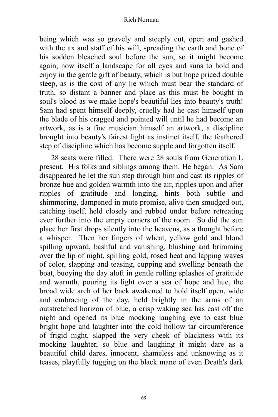being which was so gravely and steeply cut, open and gashed with the ax and staff of his will, spreading the earth and bone of his sodden bleached soul before the sun, so it might become again, now itself a landscape for all eyes and suns to hold and enjoy in the gentle gift of beauty, which is but hope priced double steep, as is the cost of any lie which must bear the standard of truth, so distant a banner and place as this must be bought in soul's blood as we make hope's beautiful lies into beauty's truth! Sam had spent himself deeply, cruelly had he cast himself upon the blade of his cragged and pointed will until he had become an artwork, as is a fine musician himself an artwork, a discipline brought into beauty's fairest light as instinct itself, the feathered step of discipline which has become supple and forgotten itself.

28 seats were filled. There were 28 souls from Generation L present. His folks and siblings among them. He began. As Sam disappeared he let the sun step through him and cast its ripples of bronze hue and golden warmth into the air, ripples upon and after ripples of gratitude and longing, hints both subtle and shimmering, dampened in mute promise, alive then smudged out, catching itself, held closely and rubbed under before retreating ever further into the empty corners of the room. So did the sun place her first drops silently into the heavens, as a thought before a whisper. Then her fingers of wheat, yellow gold and blond spilling upward, bashful and vanishing, blushing and brimming over the lip of night, spilling gold, rosed heat and lapping waves of color, slapping and teasing, cupping and swelling beneath the boat, buoying the day aloft in gentle rolling splashes of gratitude and warmth, pouring its light over a sea of hope and hue, the broad wide arch of her back awakened to hold itself open, wide and embracing of the day, held brightly in the arms of an outstretched horizon of blue, a crisp waking sea has cast off the night and opened its blue mocking laughing eye to cast blue bright hope and laughter into the cold hollow tar circumference of frigid night, slapped the very cheek of blackness with its mocking laughter, so blue and laughing it might dare as a beautiful child dares, innocent, shameless and unknowing as it teases, playfully tugging on the black mane of even Death's dark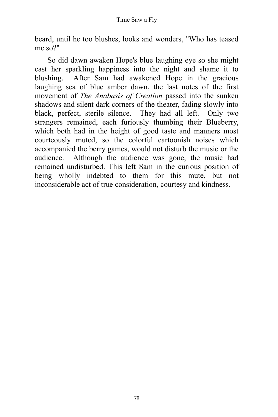beard, until he too blushes, looks and wonders, "Who has teased me so?"

So did dawn awaken Hope's blue laughing eye so she might cast her sparkling happiness into the night and shame it to blushing. After Sam had awakened Hope in the gracious laughing sea of blue amber dawn, the last notes of the first movement of *The Anabasis of Creation* passed into the sunken shadows and silent dark corners of the theater, fading slowly into black, perfect, sterile silence. They had all left. Only two strangers remained, each furiously thumbing their Blueberry, which both had in the height of good taste and manners most courteously muted, so the colorful cartoonish noises which accompanied the berry games, would not disturb the music or the audience. Although the audience was gone, the music had remained undisturbed. This left Sam in the curious position of being wholly indebted to them for this mute, but not inconsiderable act of true consideration, courtesy and kindness.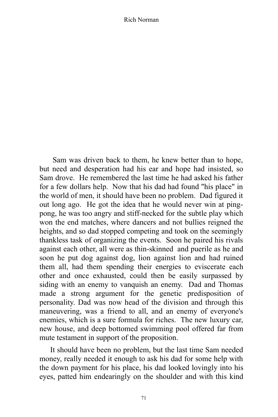Sam was driven back to them, he knew better than to hope, but need and desperation had his ear and hope had insisted, so Sam drove. He remembered the last time he had asked his father for a few dollars help. Now that his dad had found "his place" in the world of men, it should have been no problem. Dad figured it out long ago. He got the idea that he would never win at pingpong, he was too angry and stiff-necked for the subtle play which won the end matches, where dancers and not bullies reigned the heights, and so dad stopped competing and took on the seemingly thankless task of organizing the events. Soon he paired his rivals against each other, all were as thin-skinned and puerile as he and soon he put dog against dog, lion against lion and had ruined them all, had them spending their energies to eviscerate each other and once exhausted, could then be easily surpassed by siding with an enemy to vanquish an enemy. Dad and Thomas made a strong argument for the genetic predisposition of personality. Dad was now head of the division and through this maneuvering, was a friend to all, and an enemy of everyone's enemies, which is a sure formula for riches. The new luxury car, new house, and deep bottomed swimming pool offered far from mute testament in support of the proposition.

It should have been no problem, but the last time Sam needed money, really needed it enough to ask his dad for some help with the down payment for his place, his dad looked lovingly into his eyes, patted him endearingly on the shoulder and with this kind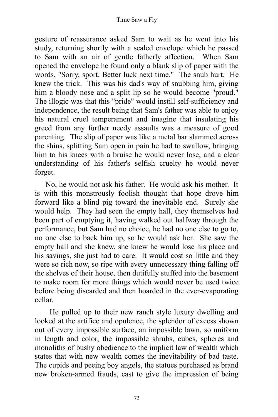gesture of reassurance asked Sam to wait as he went into his study, returning shortly with a sealed envelope which he passed to Sam with an air of gentle fatherly affection. When Sam opened the envelope he found only a blank slip of paper with the words, "Sorry, sport. Better luck next time." The snub hurt. He knew the trick. This was his dad's way of snubbing him, giving him a bloody nose and a split lip so he would become "proud." The illogic was that this "pride" would instill self-sufficiency and independence, the result being that Sam's father was able to enjoy his natural cruel temperament and imagine that insulating his greed from any further needy assaults was a measure of good parenting. The slip of paper was like a metal bar slammed across the shins, splitting Sam open in pain he had to swallow, bringing him to his knees with a bruise he would never lose, and a clear understanding of his father's selfish cruelty he would never forget.

No, he would not ask his father. He would ask his mother. It is with this monstrously foolish thought that hope drove him forward like a blind pig toward the inevitable end. Surely she would help. They had seen the empty hall, they themselves had been part of emptying it, having walked out halfway through the performance, but Sam had no choice, he had no one else to go to, no one else to back him up, so he would ask her. She saw the empty hall and she knew, she knew he would lose his place and his savings, she just had to care. It would cost so little and they were so rich now, so ripe with every unnecessary thing falling off the shelves of their house, then dutifully stuffed into the basement to make room for more things which would never be used twice before being discarded and then hoarded in the ever-evaporating cellar.

He pulled up to their new ranch style luxury dwelling and looked at the artifice and opulence, the splendor of excess shown out of every impossible surface, an impossible lawn, so uniform in length and color, the impossible shrubs, cubes, spheres and monoliths of bushy obedience to the implicit law of wealth which states that with new wealth comes the inevitability of bad taste. The cupids and peeing boy angels, the statues purchased as brand new broken-armed frauds, cast to give the impression of being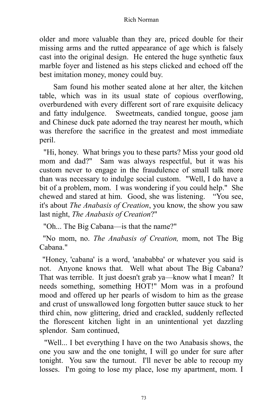older and more valuable than they are, priced double for their missing arms and the rutted appearance of age which is falsely cast into the original design. He entered the huge synthetic faux marble foyer and listened as his steps clicked and echoed off the best imitation money, money could buy.

Sam found his mother seated alone at her alter, the kitchen table, which was in its usual state of copious overflowing, overburdened with every different sort of rare exquisite delicacy and fatty indulgence. Sweetmeats, candied tongue, goose jam and Chinese duck pate adorned the tray nearest her mouth, which was therefore the sacrifice in the greatest and most immediate peril.

"Hi, honey. What brings you to these parts? Miss your good old mom and dad?" Sam was always respectful, but it was his custom never to engage in the fraudulence of small talk more than was necessary to indulge social custom. "Well, I do have a bit of a problem, mom. I was wondering if you could help." She chewed and stared at him. Good, she was listening. "You see, it's about *The Anabasis of Creation*, you know, the show you saw last night, *The Anabasis of Creation*?"

"Oh... The Big Cabana––is that the name?"

"No mom, no. *The Anabasis of Creation,* mom, not The Big Cabana."

"Honey, 'cabana' is a word, 'anababba' or whatever you said is not. Anyone knows that. Well what about The Big Cabana? That was terrible. It just doesn't grab ya––know what I mean? It needs something, something HOT!" Mom was in a profound mood and offered up her pearls of wisdom to him as the grease and crust of unswallowed long forgotten butter sauce stuck to her third chin, now glittering, dried and crackled, suddenly reflected the florescent kitchen light in an unintentional yet dazzling splendor. Sam continued,

"Well... I bet everything I have on the two Anabasis shows, the one you saw and the one tonight, I will go under for sure after tonight. You saw the turnout. I'll never be able to recoup my losses. I'm going to lose my place, lose my apartment, mom. I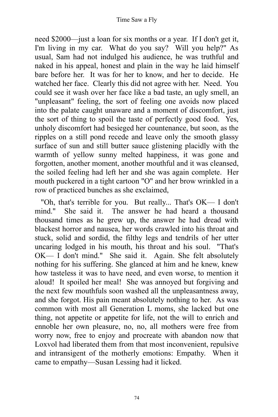need \$2000––just a loan for six months or a year. If I don't get it, I'm living in my car. What do you say? Will you help?" As usual, Sam had not indulged his audience, he was truthful and naked in his appeal, honest and plain in the way he laid himself bare before her. It was for her to know, and her to decide. He watched her face. Clearly this did not agree with her. Need. You could see it wash over her face like a bad taste, an ugly smell, an "unpleasant" feeling, the sort of feeling one avoids now placed into the palate caught unaware and a moment of discomfort, just the sort of thing to spoil the taste of perfectly good food. Yes, unholy discomfort had besieged her countenance, but soon, as the ripples on a still pond recede and leave only the smooth glassy surface of sun and still butter sauce glistening placidly with the warmth of yellow sunny melted happiness, it was gone and forgotten, another moment, another mouthful and it was cleansed, the soiled feeling had left her and she was again complete. Her mouth puckered in a tight cartoon "O" and her brow wrinkled in a row of practiced bunches as she exclaimed,

"Oh, that's terrible for you. But really... That's OK–– I don't mind." She said it. The answer he had heard a thousand thousand times as he grew up, the answer he had dread with blackest horror and nausea, her words crawled into his throat and stuck, solid and sordid, the filthy legs and tendrils of her utter uncaring lodged in his mouth, his throat and his soul. "That's OK–– I don't mind." She said it. Again. She felt absolutely nothing for his suffering. She glanced at him and he knew, knew how tasteless it was to have need, and even worse, to mention it aloud! It spoiled her meal! She was annoyed but forgiving and the next few mouthfuls soon washed all the unpleasantness away, and she forgot. His pain meant absolutely nothing to her. As was common with most all Generation L moms, she lacked but one thing, not appetite or appetite for life, not the will to enrich and ennoble her own pleasure, no, no, all mothers were free from worry now, free to enjoy and procreate with abandon now that Loxvol had liberated them from that most inconvenient, repulsive and intransigent of the motherly emotions: Empathy. When it came to empathy––Susan Lessing had it licked.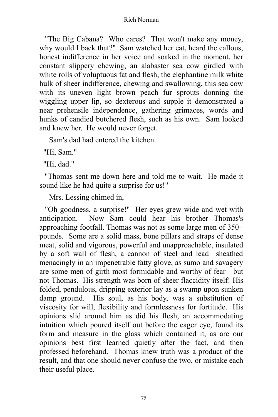"The Big Cabana? Who cares? That won't make any money, why would I back that?" Sam watched her eat, heard the callous, honest indifference in her voice and soaked in the moment, her constant slippery chewing, an alabaster sea cow girdled with white rolls of voluptuous fat and flesh, the elephantine milk white hulk of sheer indifference, chewing and swallowing, this sea cow with its uneven light brown peach fur sprouts donning the wiggling upper lip, so dexterous and supple it demonstrated a near prehensile independence, gathering grimaces, words and hunks of candied butchered flesh, such as his own. Sam looked and knew her. He would never forget.

Sam's dad had entered the kitchen.

"Hi, Sam."

"Hi, dad."

"Thomas sent me down here and told me to wait. He made it sound like he had quite a surprise for us!"

Mrs. Lessing chimed in,

"Oh goodness, a surprise!" Her eyes grew wide and wet with anticipation. Now Sam could hear his brother Thomas's approaching footfall. Thomas was not as some large men of 350+ pounds. Some are a solid mass, bone pillars and straps of dense meat, solid and vigorous, powerful and unapproachable, insulated by a soft wall of flesh, a cannon of steel and lead sheathed menacingly in an impenetrable fatty glove, as sumo and savagery are some men of girth most formidable and worthy of fear––but not Thomas. His strength was born of sheer flaccidity itself! His folded, pendulous, dripping exterior lay as a swamp upon sunken damp ground. His soul, as his body, was a substitution of viscosity for will, flexibility and formlessness for fortitude. His opinions slid around him as did his flesh, an accommodating intuition which poured itself out before the eager eye, found its form and measure in the glass which contained it, as are our opinions best first learned quietly after the fact, and then professed beforehand. Thomas knew truth was a product of the result, and that one should never confuse the two, or mistake each their useful place.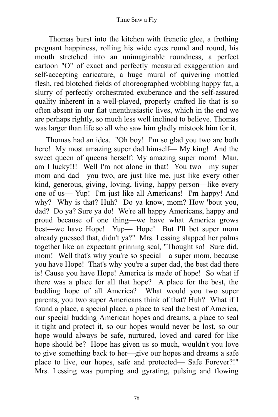Thomas burst into the kitchen with frenetic glee, a frothing pregnant happiness, rolling his wide eyes round and round, his mouth stretched into an unimaginable roundness, a perfect cartoon "O" of exact and perfectly measured exaggeration and self-accepting caricature, a huge mural of quivering mottled flesh, red blotched fields of choreographed wobbling happy fat, a slurry of perfectly orchestrated exuberance and the self-assured quality inherent in a well-played, properly crafted lie that is so often absent in our flat unenthusiastic lives, which in the end we are perhaps rightly, so much less well inclined to believe. Thomas was larger than life so all who saw him gladly mistook him for it.

Thomas had an idea. "Oh boy! I'm so glad you two are both here! My most amazing super dad himself— My king! And the sweet queen of queens herself: My amazing super mom! Man, am I lucky!!! Well I'm not alone in that! You two––my super mom and dad––you two, are just like me, just like every other kind, generous, giving, loving, living, happy person––like every one of us–– Yup! I'm just like all Americans! I'm happy! And why? Why is that? Huh? Do ya know, mom? How 'bout you, dad? Do ya? Sure ya do! We're all happy Americans, happy and proud because of one thing––we have what America grows best––we have Hope! Yup–– Hope! But I'll bet super mom already guessed that, didn't ya?" Mrs. Lessing slapped her palms together like an expectant grinning seal, "Thought so! Sure did, mom! Well that's why you're so special––a super mom, because you have Hope! That's why you're a super dad, the best dad there is! Cause you have Hope! America is made of hope! So what if there was a place for all that hope? A place for the best, the budding hope of all America? What would you two super parents, you two super Americans think of that? Huh? What if I found a place, a special place, a place to seal the best of America, our special budding American hopes and dreams, a place to seal it tight and protect it, so our hopes would never be lost, so our hope would always be safe, nurtured, loved and cared for like hope should be? Hope has given us so much, wouldn't you love to give something back to her––give our hopes and dreams a safe place to live, our hopes, safe and protected–– Safe Forever?!" Mrs. Lessing was pumping and gyrating, pulsing and flowing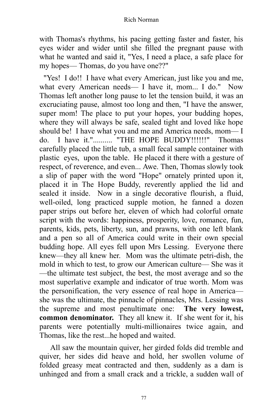with Thomas's rhythms, his pacing getting faster and faster, his eyes wider and wider until she filled the pregnant pause with what he wanted and said it, "Yes, I need a place, a safe place for my hopes–– Thomas, do you have one??"

"Yes! I do!! I have what every American, just like you and me, what every American needs— I have it, mom... I do." Now Thomas left another long pause to let the tension build, it was an excruciating pause, almost too long and then, "I have the answer, super mom! The place to put your hopes, your budding hopes, where they will always be safe, sealed tight and loved like hope should be! I have what you and me and America needs, mom-I do. I have it.".......... "THE HOPE BUDDY!!!!!!" Thomas carefully placed the little tub, a small fecal sample container with plastic eyes, upon the table. He placed it there with a gesture of respect, of reverence, and even... Awe. Then, Thomas slowly took a slip of paper with the word "Hope" ornately printed upon it, placed it in The Hope Buddy, reverently applied the lid and sealed it inside. Now in a single decorative flourish, a fluid, well-oiled, long practiced supple motion, he fanned a dozen paper strips out before her, eleven of which had colorful ornate script with the words: happiness, prosperity, love, romance, fun, parents, kids, pets, liberty, sun, and prawns, with one left blank and a pen so all of America could write in their own special budding hope. All eyes fell upon Mrs Lessing. Everyone there knew––they all knew her. Mom was the ultimate petri-dish, the mold in which to test, to grow our American culture–– She was it ––the ultimate test subject, the best, the most average and so the most superlative example and indicator of true worth. Mom was the personification, the very essence of real hope in America–– she was the ultimate, the pinnacle of pinnacles, Mrs. Lessing was the supreme and most penultimate one: **The very lowest, common denominator.** They all knew it. If she went for it, his parents were potentially multi-millionaires twice again, and Thomas, like the rest...he hoped and waited.

All saw the mountain quiver, her girded folds did tremble and quiver, her sides did heave and hold, her swollen volume of folded greasy meat contracted and then, suddenly as a dam is unhinged and from a small crack and a trickle, a sudden wall of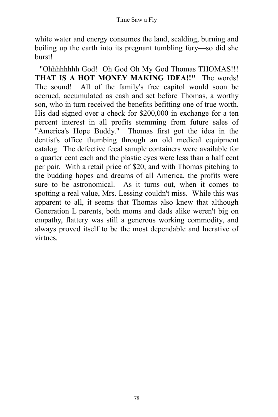white water and energy consumes the land, scalding, burning and boiling up the earth into its pregnant tumbling fury––so did she burst!

"Ohhhhhhhh God! Oh God Oh My God Thomas THOMAS!!! **THAT IS A HOT MONEY MAKING IDEA!!"** The words! The sound! All of the family's free capitol would soon be accrued, accumulated as cash and set before Thomas, a worthy son, who in turn received the benefits befitting one of true worth. His dad signed over a check for \$200,000 in exchange for a ten percent interest in all profits stemming from future sales of "America's Hope Buddy." Thomas first got the idea in the dentist's office thumbing through an old medical equipment catalog. The defective fecal sample containers were available for a quarter cent each and the plastic eyes were less than a half cent per pair. With a retail price of \$20, and with Thomas pitching to the budding hopes and dreams of all America, the profits were sure to be astronomical. As it turns out, when it comes to spotting a real value, Mrs. Lessing couldn't miss. While this was apparent to all, it seems that Thomas also knew that although Generation L parents, both moms and dads alike weren't big on empathy, flattery was still a generous working commodity, and always proved itself to be the most dependable and lucrative of virtues.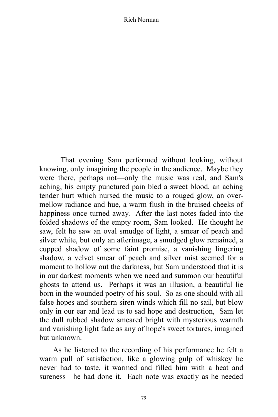That evening Sam performed without looking, without knowing, only imagining the people in the audience. Maybe they were there, perhaps not—only the music was real, and Sam's aching, his empty punctured pain bled a sweet blood, an aching tender hurt which nursed the music to a rouged glow, an overmellow radiance and hue, a warm flush in the bruised cheeks of happiness once turned away. After the last notes faded into the folded shadows of the empty room, Sam looked. He thought he saw, felt he saw an oval smudge of light, a smear of peach and silver white, but only an afterimage, a smudged glow remained, a cupped shadow of some faint promise, a vanishing lingering shadow, a velvet smear of peach and silver mist seemed for a moment to hollow out the darkness, but Sam understood that it is in our darkest moments when we need and summon our beautiful ghosts to attend us. Perhaps it was an illusion, a beautiful lie born in the wounded poetry of his soul. So as one should with all false hopes and southern siren winds which fill no sail, but blow only in our ear and lead us to sad hope and destruction, Sam let the dull rubbed shadow smeared bright with mysterious warmth and vanishing light fade as any of hope's sweet tortures, imagined but unknown.

As he listened to the recording of his performance he felt a warm pull of satisfaction, like a glowing gulp of whiskey he never had to taste, it warmed and filled him with a heat and sureness—he had done it. Each note was exactly as he needed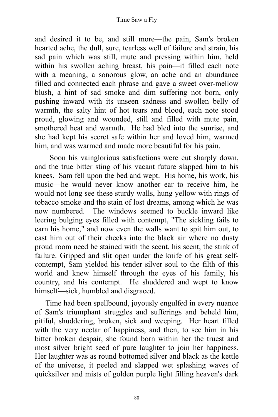and desired it to be, and still more––the pain, Sam's broken hearted ache, the dull, sure, tearless well of failure and strain, his sad pain which was still, mute and pressing within him, held within his swollen aching breast, his pain––it filled each note with a meaning, a sonorous glow, an ache and an abundance filled and connected each phrase and gave a sweet over-mellow blush, a hint of sad smoke and dim suffering not born, only pushing inward with its unseen sadness and swollen belly of warmth, the salty hint of hot tears and blood, each note stood proud, glowing and wounded, still and filled with mute pain, smothered heat and warmth. He had bled into the sunrise, and she had kept his secret safe within her and loved him, warmed him, and was warmed and made more beautiful for his pain.

Soon his vainglorious satisfactions were cut sharply down, and the true bitter sting of his vacant future slapped him to his knees. Sam fell upon the bed and wept. His home, his work, his music––he would never know another ear to receive him, he would not long see these sturdy walls, hung yellow with rings of tobacco smoke and the stain of lost dreams, among which he was now numbered. The windows seemed to buckle inward like leering bulging eyes filled with contempt, "The sickling fails to earn his home," and now even the walls want to spit him out, to cast him out of their cheeks into the black air where no dusty proud room need be stained with the scent, his scent, the stink of failure. Gripped and slit open under the knife of his great selfcontempt, Sam yielded his tender silver soul to the filth of this world and knew himself through the eyes of his family, his country, and his contempt. He shuddered and wept to know himself––sick, humbled and disgraced.

Time had been spellbound, joyously engulfed in every nuance of Sam's triumphant struggles and sufferings and beheld him, pitiful, shuddering, broken, sick and weeping. Her heart filled with the very nectar of happiness, and then, to see him in his bitter broken despair, she found born within her the truest and most silver bright seed of pure laughter to join her happiness. Her laughter was as round bottomed silver and black as the kettle of the universe, it peeled and slapped wet splashing waves of quicksilver and mists of golden purple light filling heaven's dark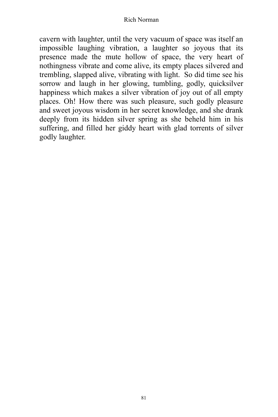cavern with laughter, until the very vacuum of space was itself an impossible laughing vibration, a laughter so joyous that its presence made the mute hollow of space, the very heart of nothingness vibrate and come alive, its empty places silvered and trembling, slapped alive, vibrating with light. So did time see his sorrow and laugh in her glowing, tumbling, godly, quicksilver happiness which makes a silver vibration of joy out of all empty places. Oh! How there was such pleasure, such godly pleasure and sweet joyous wisdom in her secret knowledge, and she drank deeply from its hidden silver spring as she beheld him in his suffering, and filled her giddy heart with glad torrents of silver godly laughter.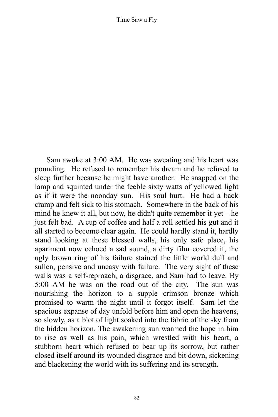Sam awoke at 3:00 AM. He was sweating and his heart was pounding. He refused to remember his dream and he refused to sleep further because he might have another. He snapped on the lamp and squinted under the feeble sixty watts of yellowed light as if it were the noonday sun. His soul hurt. He had a back cramp and felt sick to his stomach. Somewhere in the back of his mind he knew it all, but now, he didn't quite remember it yet––he just felt bad. A cup of coffee and half a roll settled his gut and it all started to become clear again. He could hardly stand it, hardly stand looking at these blessed walls, his only safe place, his apartment now echoed a sad sound, a dirty film covered it, the ugly brown ring of his failure stained the little world dull and sullen, pensive and uneasy with failure. The very sight of these walls was a self-reproach, a disgrace, and Sam had to leave. By 5:00 AM he was on the road out of the city. The sun was nourishing the horizon to a supple crimson bronze which promised to warm the night until it forgot itself. Sam let the spacious expanse of day unfold before him and open the heavens, so slowly, as a blot of light soaked into the fabric of the sky from the hidden horizon. The awakening sun warmed the hope in him to rise as well as his pain, which wrestled with his heart, a stubborn heart which refused to bear up its sorrow, but rather closed itself around its wounded disgrace and bit down, sickening and blackening the world with its suffering and its strength.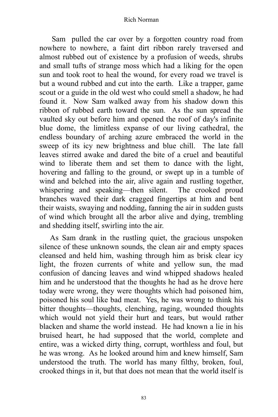Sam pulled the car over by a forgotten country road from nowhere to nowhere, a faint dirt ribbon rarely traversed and almost rubbed out of existence by a profusion of weeds, shrubs and small tufts of strange moss which had a liking for the open sun and took root to heal the wound, for every road we travel is but a wound rubbed and cut into the earth. Like a trapper, game scout or a guide in the old west who could smell a shadow, he had found it. Now Sam walked away from his shadow down this ribbon of rubbed earth toward the sun. As the sun spread the vaulted sky out before him and opened the roof of day's infinite blue dome, the limitless expanse of our living cathedral, the endless boundary of arching azure embraced the world in the sweep of its icy new brightness and blue chill. The late fall leaves stirred awake and dared the bite of a cruel and beautiful wind to liberate them and set them to dance with the light, hovering and falling to the ground, or swept up in a tumble of wind and belched into the air, alive again and rustling together, whispering and speaking––then silent. The crooked proud branches waved their dark cragged fingertips at him and bent their waists, swaying and nodding, fanning the air in sudden gusts of wind which brought all the arbor alive and dying, trembling and shedding itself, swirling into the air.

As Sam drank in the rustling quiet, the gracious unspoken silence of these unknown sounds, the clean air and empty spaces cleansed and held him, washing through him as brisk clear icy light, the frozen currents of white and yellow sun, the mad confusion of dancing leaves and wind whipped shadows healed him and he understood that the thoughts he had as he drove here today were wrong, they were thoughts which had poisoned him, poisoned his soul like bad meat. Yes, he was wrong to think his bitter thoughts––thoughts, clenching, raging, wounded thoughts which would not yield their hurt and tears, but would rather blacken and shame the world instead. He had known a lie in his bruised heart, he had supposed that the world, complete and entire, was a wicked dirty thing, corrupt, worthless and foul, but he was wrong. As he looked around him and knew himself, Sam understood the truth. The world has many filthy, broken, foul, crooked things in it, but that does not mean that the world itself is